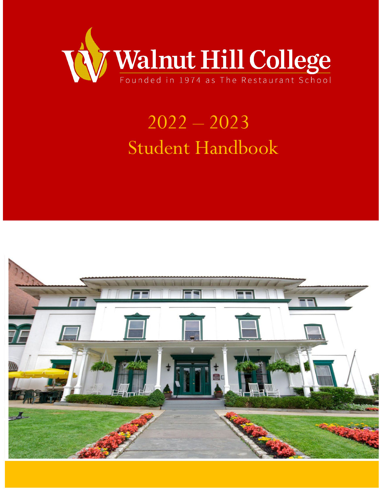

# 2022 – 2023 Student Handbook

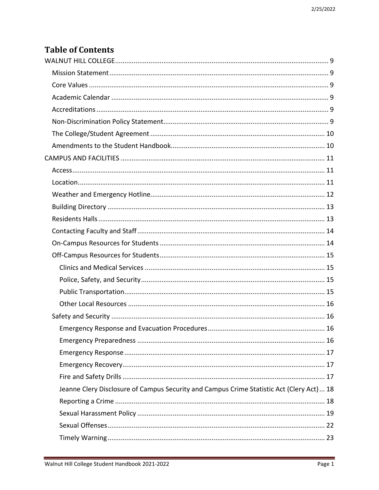# **Table of Contents**

| Jeanne Clery Disclosure of Campus Security and Campus Crime Statistic Act (Clery Act)  18 |  |
|-------------------------------------------------------------------------------------------|--|
|                                                                                           |  |
|                                                                                           |  |
|                                                                                           |  |
|                                                                                           |  |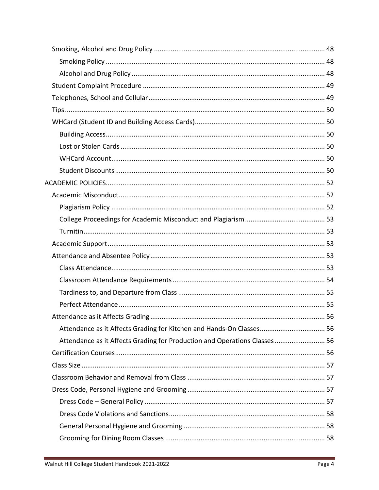| Attendance as it Affects Grading for Production and Operations Classes 56 |  |
|---------------------------------------------------------------------------|--|
|                                                                           |  |
|                                                                           |  |
|                                                                           |  |
|                                                                           |  |
|                                                                           |  |
|                                                                           |  |
|                                                                           |  |
|                                                                           |  |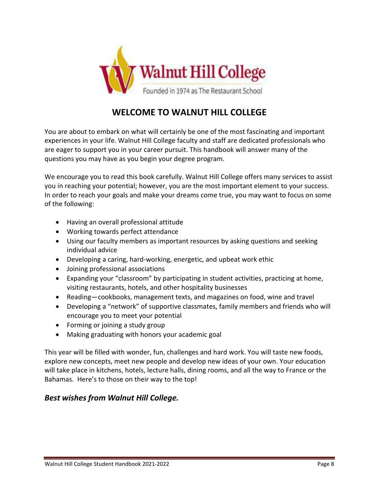

# **WELCOME TO WALNUT HILL COLLEGE**

You are about to embark on what will certainly be one of the most fascinating and important experiences in your life. Walnut Hill College faculty and staff are dedicated professionals who are eager to support you in your career pursuit. This handbook will answer many of the questions you may have as you begin your degree program.

We encourage you to read this book carefully. Walnut Hill College offers many services to assist you in reaching your potential; however, you are the most important element to your success. In order to reach your goals and make your dreams come true, you may want to focus on some of the following:

- Having an overall professional attitude
- Working towards perfect attendance
- Using our faculty members as important resources by asking questions and seeking individual advice
- Developing a caring, hard-working, energetic, and upbeat work ethic
- Joining professional associations
- Expanding your "classroom" by participating in student activities, practicing at home, visiting restaurants, hotels, and other hospitality businesses
- Reading—cookbooks, management texts, and magazines on food, wine and travel
- Developing a "network" of supportive classmates, family members and friends who will encourage you to meet your potential
- Forming or joining a study group
- Making graduating with honors your academic goal

This year will be filled with wonder, fun, challenges and hard work. You will taste new foods, explore new concepts, meet new people and develop new ideas of your own. Your education will take place in kitchens, hotels, lecture halls, dining rooms, and all the way to France or the Bahamas. Here's to those on their way to the top!

# *Best wishes from Walnut Hill College.*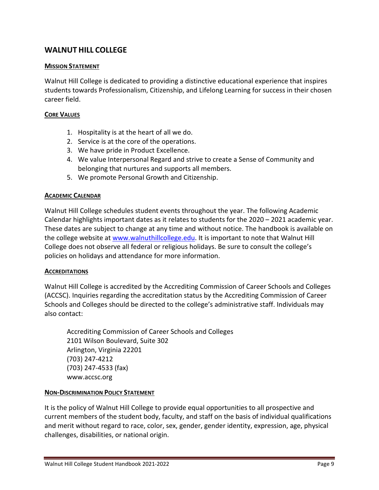# <span id="page-9-0"></span>**WALNUT HILL COLLEGE**

#### <span id="page-9-1"></span>**MISSION STATEMENT**

Walnut Hill College is dedicated to providing a distinctive educational experience that inspires students towards Professionalism, Citizenship, and Lifelong Learning for success in their chosen career field.

#### <span id="page-9-2"></span>**CORE VALUES**

- 1. Hospitality is at the heart of all we do.
- 2. Service is at the core of the operations.
- 3. We have pride in Product Excellence.
- 4. We value Interpersonal Regard and strive to create a Sense of Community and belonging that nurtures and supports all members.
- 5. We promote Personal Growth and Citizenship.

#### <span id="page-9-3"></span>**ACADEMIC CALENDAR**

Walnut Hill College schedules student events throughout the year. The following Academic Calendar highlights important dates as it relates to students for the 2020 – 2021 academic year. These dates are subject to change at any time and without notice. The handbook is available on the college website at [www.walnuthillcollege.edu.](http://www.walnuthillcollege.edu/) It is important to note that Walnut Hill College does not observe all federal or religious holidays. Be sure to consult the college's policies on holidays and attendance for more information.

#### <span id="page-9-4"></span>**ACCREDITATIONS**

Walnut Hill College is accredited by the Accrediting Commission of Career Schools and Colleges (ACCSC). Inquiries regarding the accreditation status by the Accrediting Commission of Career Schools and Colleges should be directed to the college's administrative staff. Individuals may also contact:

Accrediting Commission of Career Schools and Colleges 2101 Wilson Boulevard, Suite 302 Arlington, Virginia 22201 (703) 247-4212 (703) 247-4533 (fax) [www.accsc.org](http://www.accsct.org/)

#### <span id="page-9-5"></span>**NON-DISCRIMINATION POLICY STATEMENT**

It is the policy of Walnut Hill College to provide equal opportunities to all prospective and current members of the student body, faculty, and staff on the basis of individual qualifications and merit without regard to race, color, sex, gender, gender identity, expression, age, physical challenges, disabilities, or national origin.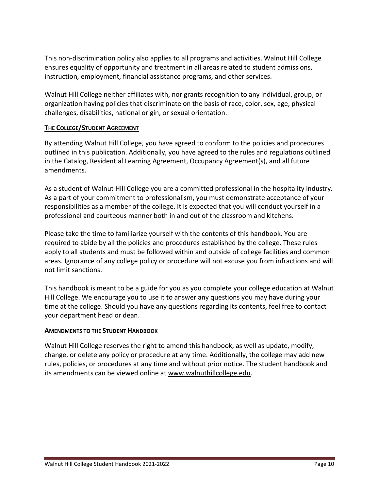This non-discrimination policy also applies to all programs and activities. Walnut Hill College ensures equality of opportunity and treatment in all areas related to student admissions, instruction, employment, financial assistance programs, and other services.

Walnut Hill College neither affiliates with, nor grants recognition to any individual, group, or organization having policies that discriminate on the basis of race, color, sex, age, physical challenges, disabilities, national origin, or sexual orientation.

#### <span id="page-10-0"></span>**THE COLLEGE/STUDENT AGREEMENT**

By attending Walnut Hill College, you have agreed to conform to the policies and procedures outlined in this publication. Additionally, you have agreed to the rules and regulations outlined in the Catalog, Residential Learning Agreement, Occupancy Agreement(s), and all future amendments.

As a student of Walnut Hill College you are a committed professional in the hospitality industry. As a part of your commitment to professionalism, you must demonstrate acceptance of your responsibilities as a member of the college. It is expected that you will conduct yourself in a professional and courteous manner both in and out of the classroom and kitchens.

Please take the time to familiarize yourself with the contents of this handbook. You are required to abide by all the policies and procedures established by the college. These rules apply to all students and must be followed within and outside of college facilities and common areas. Ignorance of any college policy or procedure will not excuse you from infractions and will not limit sanctions.

This handbook is meant to be a guide for you as you complete your college education at Walnut Hill College. We encourage you to use it to answer any questions you may have during your time at the college. Should you have any questions regarding its contents, feel free to contact your department head or dean.

#### <span id="page-10-1"></span>**AMENDMENTS TO THE STUDENT HANDBOOK**

Walnut Hill College reserves the right to amend this handbook, as well as update, modify, change, or delete any policy or procedure at any time. Additionally, the college may add new rules, policies, or procedures at any time and without prior notice. The student handbook and its amendments can be viewed online at [www.walnuthillcollege.edu.](http://www.walnuthillcollege.edu/)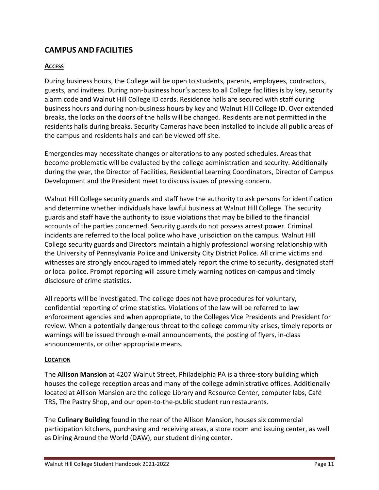# <span id="page-11-0"></span>**CAMPUS AND FACILITIES**

#### <span id="page-11-1"></span>**ACCESS**

During business hours, the College will be open to students, parents, employees, contractors, guests, and invitees. During non-business hour's access to all College facilities is by key, security alarm code and Walnut Hill College ID cards. Residence halls are secured with staff during business hours and during non-business hours by key and Walnut Hill College ID. Over extended breaks, the locks on the doors of the halls will be changed. Residents are not permitted in the residents halls during breaks. Security Cameras have been installed to include all public areas of the campus and residents halls and can be viewed off site.

Emergencies may necessitate changes or alterations to any posted schedules. Areas that become problematic will be evaluated by the college administration and security. Additionally during the year, the Director of Facilities, Residential Learning Coordinators, Director of Campus Development and the President meet to discuss issues of pressing concern.

Walnut Hill College security guards and staff have the authority to ask persons for identification and determine whether individuals have lawful business at Walnut Hill College. The security guards and staff have the authority to issue violations that may be billed to the financial accounts of the parties concerned. Security guards do not possess arrest power. Criminal incidents are referred to the local police who have jurisdiction on the campus. Walnut Hill College security guards and Directors maintain a highly professional working relationship with the University of Pennsylvania Police and University City District Police. All crime victims and witnesses are strongly encouraged to immediately report the crime to security, designated staff or local police. Prompt reporting will assure timely warning notices on-campus and timely disclosure of crime statistics.

All reports will be investigated. The college does not have procedures for voluntary, confidential reporting of crime statistics. Violations of the law will be referred to law enforcement agencies and when appropriate, to the Colleges Vice Presidents and President for review. When a potentially dangerous threat to the college community arises, timely reports or warnings will be issued through e-mail announcements, the posting of flyers, in-class announcements, or other appropriate means.

#### <span id="page-11-2"></span>**LOCATION**

The **Allison Mansion** at 4207 Walnut Street, Philadelphia PA is a three-story building which houses the college reception areas and many of the college administrative offices. Additionally located at Allison Mansion are the college Library and Resource Center, computer labs, Café TRS, The Pastry Shop, and our open-to-the-public student run restaurants.

The **Culinary Building** found in the rear of the Allison Mansion, houses six commercial participation kitchens, purchasing and receiving areas, a store room and issuing center, as well as Dining Around the World (DAW), our student dining center.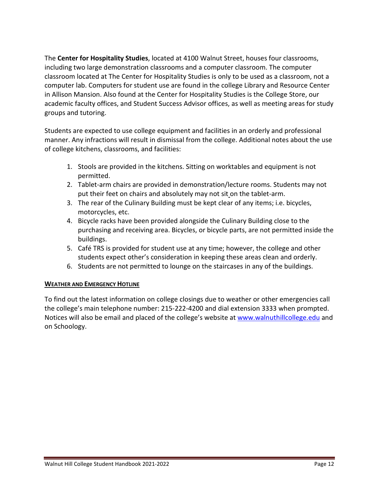The **Center for Hospitality Studies**, located at 4100 Walnut Street, houses four classrooms, including two large demonstration classrooms and a computer classroom. The computer classroom located at The Center for Hospitality Studies is only to be used as a classroom, not a computer lab. Computers for student use are found in the college Library and Resource Center in Allison Mansion. Also found at the Center for Hospitality Studies is the College Store, our academic faculty offices, and Student Success Advisor offices, as well as meeting areas for study groups and tutoring.

Students are expected to use college equipment and facilities in an orderly and professional manner. Any infractions will result in dismissal from the college. Additional notes about the use of college kitchens, classrooms, and facilities:

- 1. Stools are provided in the kitchens. Sitting on worktables and equipment is not permitted.
- 2. Tablet-arm chairs are provided in demonstration/lecture rooms. Students may not put their feet on chairs and absolutely may not sit on the tablet-arm.
- 3. The rear of the Culinary Building must be kept clear of any items; i.e. bicycles, motorcycles, etc.
- 4. Bicycle racks have been provided alongside the Culinary Building close to the purchasing and receiving area. Bicycles, or bicycle parts, are not permitted inside the buildings.
- 5. Café TRS is provided for student use at any time; however, the college and other students expect other's consideration in keeping these areas clean and orderly.
- 6. Students are not permitted to lounge on the staircases in any of the buildings.

#### <span id="page-12-0"></span>**WEATHER AND EMERGENCY HOTLINE**

To find out the latest information on college closings due to weather or other emergencies call the college's main telephone number: 215-222-4200 and dial extension 3333 when prompted. Notices will also be email and placed of the college's website a[t www.walnuthillcollege.edu](http://www.walnuthillcollege.edu/) and on Schoology.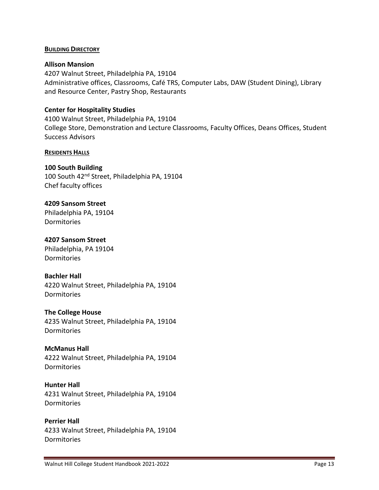#### <span id="page-13-0"></span>**BUILDING DIRECTORY**

#### **Allison Mansion**

4207 Walnut Street, Philadelphia PA, 19104 Administrative offices, Classrooms, Café TRS, Computer Labs, DAW (Student Dining), Library and Resource Center, Pastry Shop, Restaurants

#### **Center for Hospitality Studies**

4100 Walnut Street, Philadelphia PA, 19104 College Store, Demonstration and Lecture Classrooms, Faculty Offices, Deans Offices, Student Success Advisors

#### <span id="page-13-1"></span>**RESIDENTS HALLS**

#### **100 South Building**

100 South 42nd Street, Philadelphia PA, 19104 Chef faculty offices

#### **4209 Sansom Street**

Philadelphia PA, 19104 Dormitories

#### **4207 Sansom Street**

Philadelphia, PA 19104 Dormitories

#### **Bachler Hall**

4220 Walnut Street, Philadelphia PA, 19104 Dormitories

#### **The College House**

4235 Walnut Street, Philadelphia PA, 19104 Dormitories

#### **McManus Hall**

4222 Walnut Street, Philadelphia PA, 19104 Dormitories

#### **Hunter Hall**

4231 Walnut Street, Philadelphia PA, 19104 **Dormitories** 

#### **Perrier Hall**

4233 Walnut Street, Philadelphia PA, 19104 Dormitories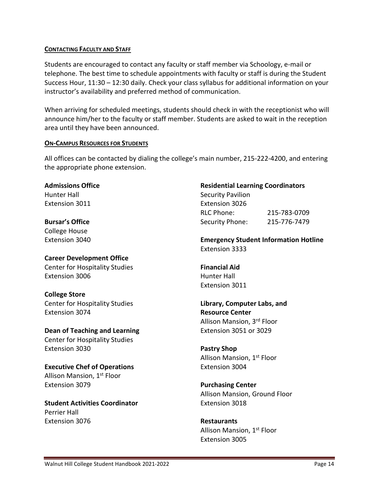#### <span id="page-14-0"></span>**CONTACTING FACULTY AND STAFF**

Students are encouraged to contact any faculty or staff member via Schoology, e-mail or telephone. The best time to schedule appointments with faculty or staff is during the Student Success Hour, 11:30 – 12:30 daily. Check your class syllabus for additional information on your instructor's availability and preferred method of communication.

When arriving for scheduled meetings, students should check in with the receptionist who will announce him/her to the faculty or staff member. Students are asked to wait in the reception area until they have been announced.

#### <span id="page-14-1"></span>**ON-CAMPUS RESOURCES FOR STUDENTS**

All offices can be contacted by dialing the college's main number, 215-222-4200, and entering the appropriate phone extension.

**Admissions Office** Hunter Hall Extension 3011

**Bursar's Office** College House Extension 3040

**Career Development Office** Center for Hospitality Studies Extension 3006

**College Store** Center for Hospitality Studies Extension 3074

**Dean of Teaching and Learning** Center for Hospitality Studies Extension 3030

**Executive Chef of Operations** Allison Mansion, 1<sup>st</sup> Floor Extension 3079

**Student Activities Coordinator** Perrier Hall Extension 3076

#### **Residential Learning Coordinators**

Security Pavilion Extension 3026 RLC Phone: 215-783-0709 Security Phone: 215-776-7479

**Emergency Student Information Hotline**  Extension 3333

**Financial Aid** Hunter Hall Extension 3011

**Library, Computer Labs, and Resource Center** Allison Mansion, 3rd Floor Extension 3051 or 3029

**Pastry Shop** Allison Mansion, 1st Floor Extension 3004

**Purchasing Center** Allison Mansion, Ground Floor Extension 3018

**Restaurants** Allison Mansion, 1<sup>st</sup> Floor Extension 3005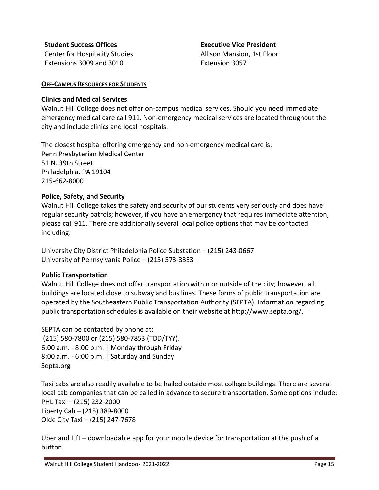**Student Success Offices** Center for Hospitality Studies Extensions 3009 and 3010

**Executive Vice President** Allison Mansion, 1st Floor Extension 3057

#### <span id="page-15-0"></span>**OFF-CAMPUS RESOURCES FOR STUDENTS**

#### <span id="page-15-1"></span>**Clinics and Medical Services**

Walnut Hill College does not offer on-campus medical services. Should you need immediate emergency medical care call 911. Non-emergency medical services are located throughout the city and include clinics and local hospitals.

The closest hospital offering emergency and non-emergency medical care is: Penn Presbyterian Medical Center 51 N. 39th Street Philadelphia, PA 19104 215-662-8000

#### <span id="page-15-2"></span>**Police, Safety, and Security**

Walnut Hill College takes the safety and security of our students very seriously and does have regular security patrols; however, if you have an emergency that requires immediate attention, please call 911. There are additionally several local police options that may be contacted including:

University City District Philadelphia Police Substation – (215) 243-0667 University of Pennsylvania Police – (215) 573-3333

#### <span id="page-15-3"></span>**Public Transportation**

Walnut Hill College does not offer transportation within or outside of the city; however, all buildings are located close to subway and bus lines. These forms of public transportation are operated by the Southeastern Public Transportation Authority (SEPTA). Information regarding public transportation schedules is available on their website at [http://www.septa.org/.](http://www.septa.org/)

SEPTA can be contacted by phone at: (215) 580-7800 or (215) 580-7853 (TDD/TYY). 6:00 a.m. - 8:00 p.m. | Monday through Friday 8:00 a.m. - 6:00 p.m. | Saturday and Sunday Septa.org

Taxi cabs are also readily available to be hailed outside most college buildings. There are several local cab companies that can be called in advance to secure transportation. Some options include: PHL Taxi – (215) 232-2000 Liberty Cab – (215) 389-8000 Olde City Taxi – (215) 247-7678

Uber and Lift – downloadable app for your mobile device for transportation at the push of a button.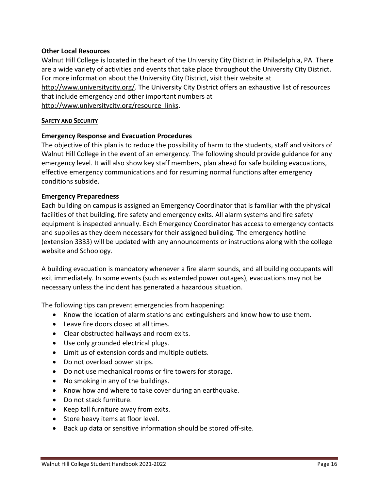#### <span id="page-16-0"></span>**Other Local Resources**

Walnut Hill College is located in the heart of the University City District in Philadelphia, PA. There are a wide variety of activities and events that take place throughout the University City District. For more information about the University City District, visit their website at [http://www.universitycity.org/.](http://www.universitycity.org/) The University City District offers an exhaustive list of resources that include emergency and other important numbers at [http://www.universitycity.org/resource\\_links.](http://www.universitycity.org/resource_links)

#### <span id="page-16-1"></span>**SAFETY AND SECURITY**

#### <span id="page-16-2"></span>**Emergency Response and Evacuation Procedures**

The objective of this plan is to reduce the possibility of harm to the students, staff and visitors of Walnut Hill College in the event of an emergency. The following should provide guidance for any emergency level. It will also show key staff members, plan ahead for safe building evacuations, effective emergency communications and for resuming normal functions after emergency conditions subside.

#### <span id="page-16-3"></span>**Emergency Preparedness**

Each building on campus is assigned an Emergency Coordinator that is familiar with the physical facilities of that building, fire safety and emergency exits. All alarm systems and fire safety equipment is inspected annually. Each Emergency Coordinator has access to emergency contacts and supplies as they deem necessary for their assigned building. The emergency hotline (extension 3333) will be updated with any announcements or instructions along with the college website and Schoology.

A building evacuation is mandatory whenever a fire alarm sounds, and all building occupants will exit immediately. In some events (such as extended power outages), evacuations may not be necessary unless the incident has generated a hazardous situation.

The following tips can prevent emergencies from happening:

- Know the location of alarm stations and extinguishers and know how to use them.
- Leave fire doors closed at all times.
- Clear obstructed hallways and room exits.
- Use only grounded electrical plugs.
- Limit us of extension cords and multiple outlets.
- Do not overload power strips.
- Do not use mechanical rooms or fire towers for storage.
- No smoking in any of the buildings.
- Know how and where to take cover during an earthquake.
- Do not stack furniture.
- Keep tall furniture away from exits.
- Store heavy items at floor level.
- Back up data or sensitive information should be stored off-site.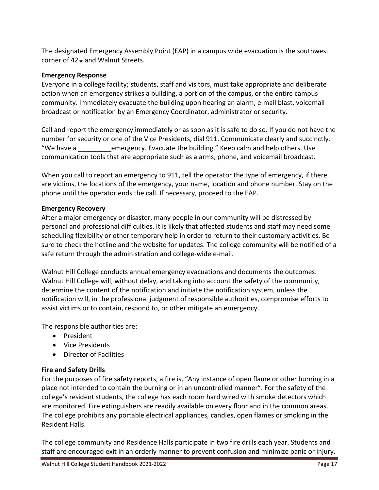The designated Emergency Assembly Point (EAP) in a campus wide evacuation is the southwest corner of 42nd and Walnut Streets.

#### <span id="page-17-0"></span>**Emergency Response**

Everyone in a college facility; students, staff and visitors, must take appropriate and deliberate action when an emergency strikes a building, a portion of the campus, or the entire campus community. Immediately evacuate the building upon hearing an alarm, e-mail blast, voicemail broadcast or notification by an Emergency Coordinator, administrator or security.

Call and report the emergency immediately or as soon as it is safe to do so. If you do not have the number for security or one of the Vice Presidents, dial 911. Communicate clearly and succinctly. "We have a can be mergency. Evacuate the building." Keep calm and help others. Use communication tools that are appropriate such as alarms, phone, and voicemail broadcast.

When you call to report an emergency to 911, tell the operator the type of emergency, if there are victims, the locations of the emergency, your name, location and phone number. Stay on the phone until the operator ends the call. If necessary, proceed to the EAP.

#### <span id="page-17-1"></span>**Emergency Recovery**

After a major emergency or disaster, many people in our community will be distressed by personal and professional difficulties. It is likely that affected students and staff may need some scheduling flexibility or other temporary help in order to return to their customary activities. Be sure to check the hotline and the website for updates. The college community will be notified of a safe return through the administration and college-wide e-mail.

Walnut Hill College conducts annual emergency evacuations and documents the outcomes. Walnut Hill College will, without delay, and taking into account the safety of the community, determine the content of the notification and initiate the notification system, unless the notification will, in the professional judgment of responsible authorities, compromise efforts to assist victims or to contain, respond to, or other mitigate an emergency.

The responsible authorities are:

- President
- Vice Presidents
- Director of Facilities

#### <span id="page-17-2"></span>**Fire and Safety Drills**

For the purposes of fire safety reports, a fire is, "Any instance of open flame or other burning in a place not intended to contain the burning or in an uncontrolled manner". For the safety of the college's resident students, the college has each room hard wired with smoke detectors which are monitored. Fire extinguishers are readily available on every floor and in the common areas. The college prohibits any portable electrical appliances, candles, open flames or smoking in the Resident Halls.

The college community and Residence Halls participate in two fire drills each year. Students and staff are encouraged exit in an orderly manner to prevent confusion and minimize panic or injury.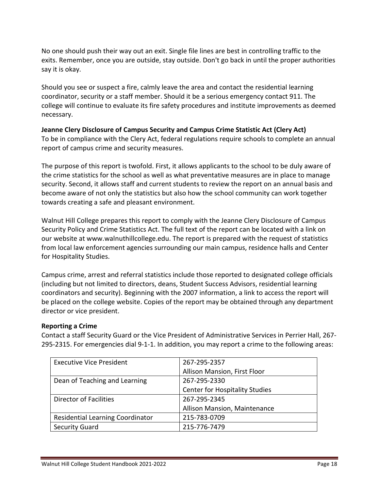No one should push their way out an exit. Single file lines are best in controlling traffic to the exits. Remember, once you are outside, stay outside. Don't go back in until the proper authorities say it is okay.

Should you see or suspect a fire, calmly leave the area and contact the residential learning coordinator, security or a staff member. Should it be a serious emergency contact 911. The college will continue to evaluate its fire safety procedures and institute improvements as deemed necessary.

#### <span id="page-18-0"></span>**Jeanne Clery Disclosure of Campus Security and Campus Crime Statistic Act (Clery Act)**  To be in compliance with the Clery Act, federal regulations require schools to complete an annual report of campus crime and security measures.

The purpose of this report is twofold. First, it allows applicants to the school to be duly aware of the crime statistics for the school as well as what preventative measures are in place to manage security. Second, it allows staff and current students to review the report on an annual basis and become aware of not only the statistics but also how the school community can work together towards creating a safe and pleasant environment.

Walnut Hill College prepares this report to comply with the Jeanne Clery Disclosure of Campus Security Policy and Crime Statistics Act. The full text of the report can be located with a link on our website at www.walnuthillcollege.edu. The report is prepared with the request of statistics from local law enforcement agencies surrounding our main campus, residence halls and Center for Hospitality Studies.

Campus crime, arrest and referral statistics include those reported to designated college officials (including but not limited to directors, deans, Student Success Advisors, residential learning coordinators and security). Beginning with the 2007 information, a link to access the report will be placed on the college website. Copies of the report may be obtained through any department director or vice president.

#### <span id="page-18-1"></span>**Reporting a Crime**

Contact a staff Security Guard or the Vice President of Administrative Services in Perrier Hall, 267- 295-2315. For emergencies dial 9-1-1. In addition, you may report a crime to the following areas:

| <b>Executive Vice President</b>  | 267-295-2357                          |
|----------------------------------|---------------------------------------|
|                                  | Allison Mansion, First Floor          |
| Dean of Teaching and Learning    | 267-295-2330                          |
|                                  | <b>Center for Hospitality Studies</b> |
| <b>Director of Facilities</b>    | 267-295-2345                          |
|                                  | Allison Mansion, Maintenance          |
| Residential Learning Coordinator | 215-783-0709                          |
| <b>Security Guard</b>            | 215-776-7479                          |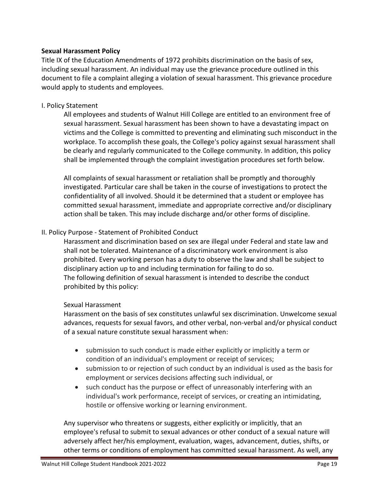#### <span id="page-19-0"></span>**Sexual Harassment Policy**

Title IX of the Education Amendments of 1972 prohibits discrimination on the basis of sex, including sexual harassment. An individual may use the grievance procedure outlined in this document to file a complaint alleging a violation of sexual harassment. This grievance procedure would apply to students and employees.

#### I. Policy Statement

All employees and students of Walnut Hill College are entitled to an environment free of sexual harassment. Sexual harassment has been shown to have a devastating impact on victims and the College is committed to preventing and eliminating such misconduct in the workplace. To accomplish these goals, the College's policy against sexual harassment shall be clearly and regularly communicated to the College community. In addition, this policy shall be implemented through the complaint investigation procedures set forth below.

All complaints of sexual harassment or retaliation shall be promptly and thoroughly investigated. Particular care shall be taken in the course of investigations to protect the confidentiality of all involved. Should it be determined that a student or employee has committed sexual harassment, immediate and appropriate corrective and/or disciplinary action shall be taken. This may include discharge and/or other forms of discipline.

#### II. Policy Purpose - Statement of Prohibited Conduct

Harassment and discrimination based on sex are illegal under Federal and state law and shall not be tolerated. Maintenance of a discriminatory work environment is also prohibited. Every working person has a duty to observe the law and shall be subject to disciplinary action up to and including termination for failing to do so. The following definition of sexual harassment is intended to describe the conduct prohibited by this policy:

#### Sexual Harassment

Harassment on the basis of sex constitutes unlawful sex discrimination. Unwelcome sexual advances, requests for sexual favors, and other verbal, non-verbal and/or physical conduct of a sexual nature constitute sexual harassment when:

- submission to such conduct is made either explicitly or implicitly a term or condition of an individual's employment or receipt of services;
- submission to or rejection of such conduct by an individual is used as the basis for employment or services decisions affecting such individual, or
- such conduct has the purpose or effect of unreasonably interfering with an individual's work performance, receipt of services, or creating an intimidating, hostile or offensive working or learning environment.

Any supervisor who threatens or suggests, either explicitly or implicitly, that an employee's refusal to submit to sexual advances or other conduct of a sexual nature will adversely affect her/his employment, evaluation, wages, advancement, duties, shifts, or other terms or conditions of employment has committed sexual harassment. As well, any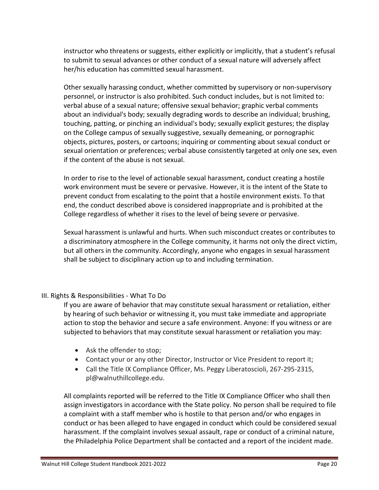instructor who threatens or suggests, either explicitly or implicitly, that a student's refusal to submit to sexual advances or other conduct of a sexual nature will adversely affect her/his education has committed sexual harassment.

Other sexually harassing conduct, whether committed by supervisory or non-supervisory personnel, or instructor is also prohibited. Such conduct includes, but is not limited to: verbal abuse of a sexual nature; offensive sexual behavior; graphic verbal comments about an individual's body; sexually degrading words to describe an individual; brushing, touching, patting, or pinching an individual's body; sexually explicit gestures; the display on the College campus of sexually suggestive, sexually demeaning, or pornographic objects, pictures, posters, or cartoons; inquiring or commenting about sexual conduct or sexual orientation or preferences; verbal abuse consistently targeted at only one sex, even if the content of the abuse is not sexual.

In order to rise to the level of actionable sexual harassment, conduct creating a hostile work environment must be severe or pervasive. However, it is the intent of the State to prevent conduct from escalating to the point that a hostile environment exists. To that end, the conduct described above is considered inappropriate and is prohibited at the College regardless of whether it rises to the level of being severe or pervasive.

Sexual harassment is unlawful and hurts. When such misconduct creates or contributes to a discriminatory atmosphere in the College community, it harms not only the direct victim, but all others in the community. Accordingly, anyone who engages in sexual harassment shall be subject to disciplinary action up to and including termination.

#### III. Rights & Responsibilities - What To Do

If you are aware of behavior that may constitute sexual harassment or retaliation, either by hearing of such behavior or witnessing it, you must take immediate and appropriate action to stop the behavior and secure a safe environment. Anyone: If you witness or are subjected to behaviors that may constitute sexual harassment or retaliation you may:

- Ask the offender to stop;
- Contact your or any other Director, Instructor or Vice President to report it;
- Call the Title IX Compliance Officer, Ms. Peggy Liberatoscioli, 267-295-2315, pl@walnuthillcollege.edu.

All complaints reported will be referred to the Title IX Compliance Officer who shall then assign investigators in accordance with the State policy. No person shall be required to file a complaint with a staff member who is hostile to that person and/or who engages in conduct or has been alleged to have engaged in conduct which could be considered sexual harassment. If the complaint involves sexual assault, rape or conduct of a criminal nature, the Philadelphia Police Department shall be contacted and a report of the incident made.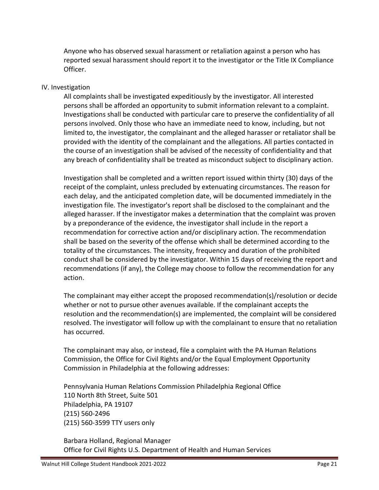Anyone who has observed sexual harassment or retaliation against a person who has reported sexual harassment should report it to the investigator or the Title IX Compliance Officer.

#### IV. Investigation

All complaints shall be investigated expeditiously by the investigator. All interested persons shall be afforded an opportunity to submit information relevant to a complaint. Investigations shall be conducted with particular care to preserve the confidentiality of all persons involved. Only those who have an immediate need to know, including, but not limited to, the investigator, the complainant and the alleged harasser or retaliator shall be provided with the identity of the complainant and the allegations. All parties contacted in the course of an investigation shall be advised of the necessity of confidentiality and that any breach of confidentiality shall be treated as misconduct subject to disciplinary action.

Investigation shall be completed and a written report issued within thirty (30) days of the receipt of the complaint, unless precluded by extenuating circumstances. The reason for each delay, and the anticipated completion date, will be documented immediately in the investigation file. The investigator's report shall be disclosed to the complainant and the alleged harasser. If the investigator makes a determination that the complaint was proven by a preponderance of the evidence, the investigator shall include in the report a recommendation for corrective action and/or disciplinary action. The recommendation shall be based on the severity of the offense which shall be determined according to the totality of the circumstances. The intensity, frequency and duration of the prohibited conduct shall be considered by the investigator. Within 15 days of receiving the report and recommendations (if any), the College may choose to follow the recommendation for any action.

The complainant may either accept the proposed recommendation(s)/resolution or decide whether or not to pursue other avenues available. If the complainant accepts the resolution and the recommendation(s) are implemented, the complaint will be considered resolved. The investigator will follow up with the complainant to ensure that no retaliation has occurred.

The complainant may also, or instead, file a complaint with the PA Human Relations Commission, the Office for Civil Rights and/or the Equal Employment Opportunity Commission in Philadelphia at the following addresses:

Pennsylvania Human Relations Commission Philadelphia Regional Office 110 North 8th Street, Suite 501 Philadelphia, PA 19107 (215) 560-2496 (215) 560-3599 TTY users only

Barbara Holland, Regional Manager Office for Civil Rights U.S. Department of Health and Human Services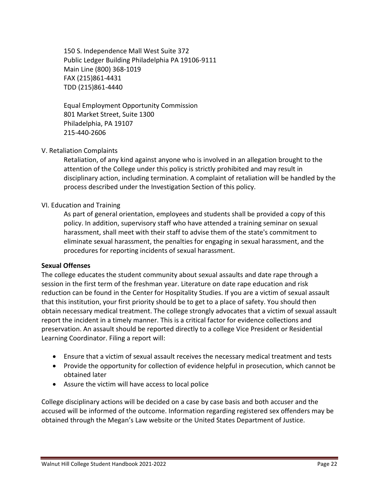150 S. Independence Mall West Suite 372 Public Ledger Building Philadelphia PA 19106-9111 Main Line (800) 368-1019 FAX (215)861-4431 TDD (215)861-4440

Equal Employment Opportunity Commission 801 Market Street, Suite 1300 Philadelphia, PA 19107 215-440-2606

#### V. Retaliation Complaints

Retaliation, of any kind against anyone who is involved in an allegation brought to the attention of the College under this policy is strictly prohibited and may result in disciplinary action, including termination. A complaint of retaliation will be handled by the process described under the Investigation Section of this policy.

#### VI. Education and Training

As part of general orientation, employees and students shall be provided a copy of this policy. In addition, supervisory staff who have attended a training seminar on sexual harassment, shall meet with their staff to advise them of the state's commitment to eliminate sexual harassment, the penalties for engaging in sexual harassment, and the procedures for reporting incidents of sexual harassment.

#### <span id="page-22-0"></span>**Sexual Offenses**

The college educates the student community about sexual assaults and date rape through a session in the first term of the freshman year. Literature on date rape education and risk reduction can be found in the Center for Hospitality Studies. If you are a victim of sexual assault that this institution, your first priority should be to get to a place of safety. You should then obtain necessary medical treatment. The college strongly advocates that a victim of sexual assault report the incident in a timely manner. This is a critical factor for evidence collections and preservation. An assault should be reported directly to a college Vice President or Residential Learning Coordinator. Filing a report will:

- Ensure that a victim of sexual assault receives the necessary medical treatment and tests
- Provide the opportunity for collection of evidence helpful in prosecution, which cannot be obtained later
- Assure the victim will have access to local police

College disciplinary actions will be decided on a case by case basis and both accuser and the accused will be informed of the outcome. Information regarding registered sex offenders may be obtained through the Megan's Law website or the United States Department of Justice.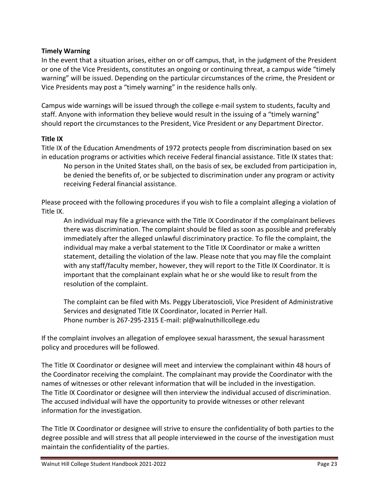#### <span id="page-23-0"></span>**Timely Warning**

In the event that a situation arises, either on or off campus, that, in the judgment of the President or one of the Vice Presidents, constitutes an ongoing or continuing threat, a campus wide "timely warning" will be issued. Depending on the particular circumstances of the crime, the President or Vice Presidents may post a "timely warning" in the residence halls only.

Campus wide warnings will be issued through the college e-mail system to students, faculty and staff. Anyone with information they believe would result in the issuing of a "timely warning" should report the circumstances to the President, Vice President or any Department Director.

#### <span id="page-23-1"></span>**Title IX**

Title IX of the Education Amendments of 1972 protects people from discrimination based on sex in education programs or activities which receive Federal financial assistance. Title IX states that: No person in the United States shall, on the basis of sex, be excluded from participation in, be denied the benefits of, or be subjected to discrimination under any program or activity receiving Federal financial assistance.

Please proceed with the following procedures if you wish to file a complaint alleging a violation of Title IX.

An individual may file a grievance with the Title IX Coordinator if the complainant believes there was discrimination. The complaint should be filed as soon as possible and preferably immediately after the alleged unlawful discriminatory practice. To file the complaint, the individual may make a verbal statement to the Title IX Coordinator or make a written statement, detailing the violation of the law. Please note that you may file the complaint with any staff/faculty member, however, they will report to the Title IX Coordinator. It is important that the complainant explain what he or she would like to result from the resolution of the complaint.

The complaint can be filed with Ms. Peggy Liberatoscioli, Vice President of Administrative Services and designated Title IX Coordinator, located in Perrier Hall. Phone number is 267-295-2315 E-mail: pl@walnuthillcollege.edu

If the complaint involves an allegation of employee sexual harassment, the sexual harassment policy and procedures will be followed.

The Title IX Coordinator or designee will meet and interview the complainant within 48 hours of the Coordinator receiving the complaint. The complainant may provide the Coordinator with the names of witnesses or other relevant information that will be included in the investigation. The Title IX Coordinator or designee will then interview the individual accused of discrimination. The accused individual will have the opportunity to provide witnesses or other relevant information for the investigation.

The Title IX Coordinator or designee will strive to ensure the confidentiality of both parties to the degree possible and will stress that all people interviewed in the course of the investigation must maintain the confidentiality of the parties.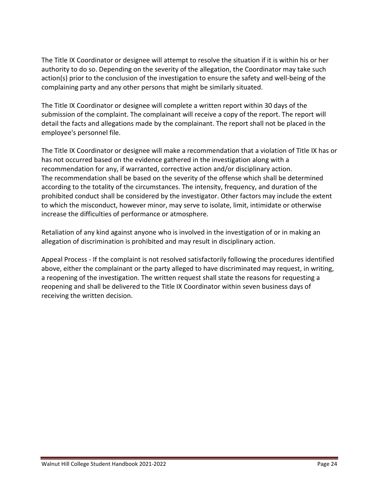The Title IX Coordinator or designee will attempt to resolve the situation if it is within his or her authority to do so. Depending on the severity of the allegation, the Coordinator may take such action(s) prior to the conclusion of the investigation to ensure the safety and well-being of the complaining party and any other persons that might be similarly situated.

The Title IX Coordinator or designee will complete a written report within 30 days of the submission of the complaint. The complainant will receive a copy of the report. The report will detail the facts and allegations made by the complainant. The report shall not be placed in the employee's personnel file.

The Title IX Coordinator or designee will make a recommendation that a violation of Title IX has or has not occurred based on the evidence gathered in the investigation along with a recommendation for any, if warranted, corrective action and/or disciplinary action. The recommendation shall be based on the severity of the offense which shall be determined according to the totality of the circumstances. The intensity, frequency, and duration of the prohibited conduct shall be considered by the investigator. Other factors may include the extent to which the misconduct, however minor, may serve to isolate, limit, intimidate or otherwise increase the difficulties of performance or atmosphere.

Retaliation of any kind against anyone who is involved in the investigation of or in making an allegation of discrimination is prohibited and may result in disciplinary action.

Appeal Process - If the complaint is not resolved satisfactorily following the procedures identified above, either the complainant or the party alleged to have discriminated may request, in writing, a reopening of the investigation. The written request shall state the reasons for requesting a reopening and shall be delivered to the Title IX Coordinator within seven business days of receiving the written decision.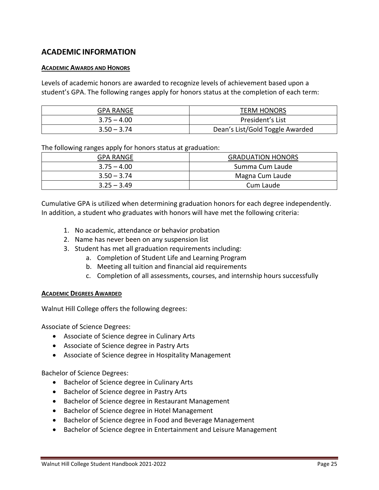# <span id="page-25-0"></span>**ACADEMIC INFORMATION**

#### <span id="page-25-1"></span>**ACADEMIC AWARDS AND HONORS**

Levels of academic honors are awarded to recognize levels of achievement based upon a student's GPA. The following ranges apply for honors status at the completion of each term:

| GPA RANGE     | <b>TERM HONORS</b>              |
|---------------|---------------------------------|
| $3.75 - 4.00$ | President's List                |
| $3.50 - 3.74$ | Dean's List/Gold Toggle Awarded |

The following ranges apply for honors status at graduation:

| <b>GPA RANGE</b> | <b>GRADUATION HONORS</b> |
|------------------|--------------------------|
| $3.75 - 4.00$    | Summa Cum Laude          |
| $3.50 - 3.74$    | Magna Cum Laude          |
| $3.25 - 3.49$    | Cum Laude                |

Cumulative GPA is utilized when determining graduation honors for each degree independently. In addition, a student who graduates with honors will have met the following criteria:

- 1. No academic, attendance or behavior probation
- 2. Name has never been on any suspension list
- 3. Student has met all graduation requirements including:
	- a. Completion of Student Life and Learning Program
	- b. Meeting all tuition and financial aid requirements
	- c. Completion of all assessments, courses, and internship hours successfully

#### <span id="page-25-2"></span>**ACADEMIC DEGREES AWARDED**

Walnut Hill College offers the following degrees:

Associate of Science Degrees:

- Associate of Science degree in Culinary Arts
- Associate of Science degree in Pastry Arts
- Associate of Science degree in Hospitality Management

Bachelor of Science Degrees:

- Bachelor of Science degree in Culinary Arts
- Bachelor of Science degree in Pastry Arts
- Bachelor of Science degree in Restaurant Management
- Bachelor of Science degree in Hotel Management
- Bachelor of Science degree in Food and Beverage Management
- Bachelor of Science degree in Entertainment and Leisure Management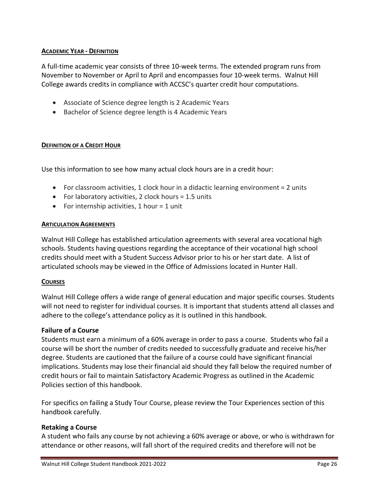#### <span id="page-26-0"></span>**ACADEMIC YEAR - DEFINITION**

A full-time academic year consists of three 10-week terms. The extended program runs from November to November or April to April and encompasses four 10-week terms. Walnut Hill College awards credits in compliance with ACCSC's quarter credit hour computations.

- Associate of Science degree length is 2 Academic Years
- Bachelor of Science degree length is 4 Academic Years

#### <span id="page-26-1"></span>**DEFINITION OF A CREDIT HOUR**

Use this information to see how many actual clock hours are in a credit hour:

- For classroom activities, 1 clock hour in a didactic learning environment  $= 2$  units
- For laboratory activities, 2 clock hours = 1.5 units
- For internship activities, 1 hour  $=$  1 unit

#### <span id="page-26-2"></span>**ARTICULATION AGREEMENTS**

Walnut Hill College has established articulation agreements with several area vocational high schools. Students having questions regarding the acceptance of their vocational high school credits should meet with a Student Success Advisor prior to his or her start date. A list of articulated schools may be viewed in the Office of Admissions located in Hunter Hall.

#### <span id="page-26-3"></span>**COURSES**

Walnut Hill College offers a wide range of general education and major specific courses. Students will not need to register for individual courses. It is important that students attend all classes and adhere to the college's attendance policy as it is outlined in this handbook.

#### <span id="page-26-4"></span>**Failure of a Course**

Students must earn a minimum of a 60% average in order to pass a course. Students who fail a course will be short the number of credits needed to successfully graduate and receive his/her degree. Students are cautioned that the failure of a course could have significant financial implications. Students may lose their financial aid should they fall below the required number of credit hours or fail to maintain Satisfactory Academic Progress as outlined in the Academic Policies section of this handbook.

For specifics on failing a Study Tour Course, please review the Tour Experiences section of this handbook carefully.

#### <span id="page-26-5"></span>**Retaking a Course**

A student who fails any course by not achieving a 60% average or above, or who is withdrawn for attendance or other reasons, will fall short of the required credits and therefore will not be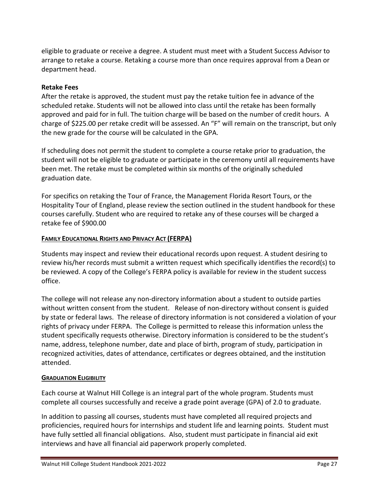eligible to graduate or receive a degree. A student must meet with a Student Success Advisor to arrange to retake a course. Retaking a course more than once requires approval from a Dean or department head.

#### **Retake Fees**

After the retake is approved, the student must pay the retake tuition fee in advance of the scheduled retake. Students will not be allowed into class until the retake has been formally approved and paid for in full. The tuition charge will be based on the number of credit hours. A charge of \$225.00 per retake credit will be assessed. An "F" will remain on the transcript, but only the new grade for the course will be calculated in the GPA.

If scheduling does not permit the student to complete a course retake prior to graduation, the student will not be eligible to graduate or participate in the ceremony until all requirements have been met. The retake must be completed within six months of the originally scheduled graduation date.

For specifics on retaking the Tour of France, the Management Florida Resort Tours, or the Hospitality Tour of England, please review the section outlined in the student handbook for these courses carefully. Student who are required to retake any of these courses will be charged a retake fee of \$900.00

#### <span id="page-27-0"></span>**FAMILY EDUCATIONAL RIGHTS AND PRIVACY ACT (FERPA)**

Students may inspect and review their educational records upon request. A student desiring to review his/her records must submit a written request which specifically identifies the record(s) to be reviewed. A copy of the College's FERPA policy is available for review in the student success office.

The college will not release any non-directory information about a student to outside parties without written consent from the student. Release of non-directory without consent is guided by state or federal laws. The release of directory information is not considered a violation of your rights of privacy under FERPA. The College is permitted to release this information unless the student specifically requests otherwise. Directory information is considered to be the student's name, address, telephone number, date and place of birth, program of study, participation in recognized activities, dates of attendance, certificates or degrees obtained, and the institution attended.

#### <span id="page-27-1"></span>**GRADUATION ELIGIBILITY**

Each course at Walnut Hill College is an integral part of the whole program. Students must complete all courses successfully and receive a grade point average (GPA) of 2.0 to graduate.

In addition to passing all courses, students must have completed all required projects and proficiencies, required hours for internships and student life and learning points. Student must have fully settled all financial obligations. Also, student must participate in financial aid exit interviews and have all financial aid paperwork properly completed.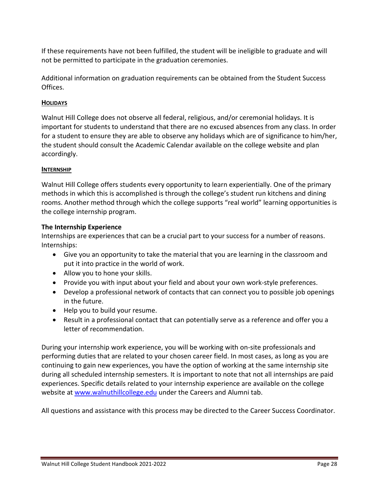If these requirements have not been fulfilled, the student will be ineligible to graduate and will not be permitted to participate in the graduation ceremonies.

Additional information on graduation requirements can be obtained from the Student Success Offices.

#### <span id="page-28-0"></span>**HOLIDAYS**

Walnut Hill College does not observe all federal, religious, and/or ceremonial holidays. It is important for students to understand that there are no excused absences from any class. In order for a student to ensure they are able to observe any holidays which are of significance to him/her, the student should consult the Academic Calendar available on the college website and plan accordingly.

#### <span id="page-28-1"></span>**INTERNSHIP**

Walnut Hill College offers students every opportunity to learn experientially. One of the primary methods in which this is accomplished is through the college's student run kitchens and dining rooms. Another method through which the college supports "real world" learning opportunities is the college internship program.

#### <span id="page-28-2"></span>**The Internship Experience**

Internships are experiences that can be a crucial part to your success for a number of reasons. Internships:

- Give you an opportunity to take the material that you are learning in the classroom and put it into practice in the world of work.
- Allow you to hone your skills.
- Provide you with input about your field and about your own work-style preferences.
- Develop a professional network of contacts that can connect you to possible job openings in the future.
- Help you to build your resume.
- Result in a professional contact that can potentially serve as a reference and offer you a letter of recommendation.

During your internship work experience, you will be working with on-site professionals and performing duties that are related to your chosen career field. In most cases, as long as you are continuing to gain new experiences, you have the option of working at the same internship site during all scheduled internship semesters. It is important to note that not all internships are paid experiences. Specific details related to your internship experience are available on the college website at [www.walnuthillcollege.edu](http://www.walnuthillcollege.edu/) under the Careers and Alumni tab.

All questions and assistance with this process may be directed to the Career Success Coordinator.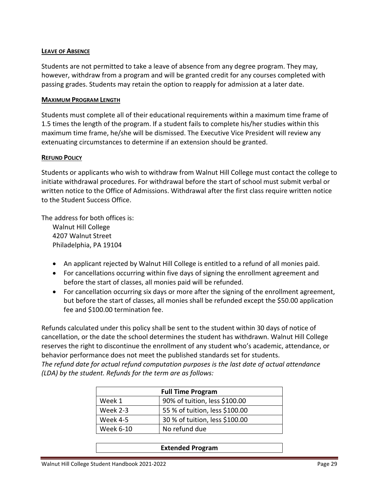#### <span id="page-29-0"></span>**LEAVE OF ABSENCE**

Students are not permitted to take a leave of absence from any degree program. They may, however, withdraw from a program and will be granted credit for any courses completed with passing grades. Students may retain the option to reapply for admission at a later date.

#### <span id="page-29-1"></span>**MAXIMUM PROGRAM LENGTH**

Students must complete all of their educational requirements within a maximum time frame of 1.5 times the length of the program. If a student fails to complete his/her studies within this maximum time frame, he/she will be dismissed. The Executive Vice President will review any extenuating circumstances to determine if an extension should be granted.

#### <span id="page-29-2"></span>**REFUND POLICY**

Students or applicants who wish to withdraw from Walnut Hill College must contact the college to initiate withdrawal procedures. For withdrawal before the start of school must submit verbal or written notice to the Office of Admissions. Withdrawal after the first class require written notice to the Student Success Office.

The address for both offices is: Walnut Hill College 4207 Walnut Street Philadelphia, PA 19104

- An applicant rejected by Walnut Hill College is entitled to a refund of all monies paid.
- For cancellations occurring within five days of signing the enrollment agreement and before the start of classes, all monies paid will be refunded.
- For cancellation occurring six days or more after the signing of the enrollment agreement, but before the start of classes, all monies shall be refunded except the \$50.00 application fee and \$100.00 termination fee.

Refunds calculated under this policy shall be sent to the student within 30 days of notice of cancellation, or the date the school determines the student has withdrawn. Walnut Hill College reserves the right to discontinue the enrollment of any student who's academic, attendance, or behavior performance does not meet the published standards set for students. *The refund date for actual refund computation purposes is the last date of actual attendance* 

*(LDA) by the student. Refunds for the term are as follows:* 

| <b>Full Time Program</b> |                                |
|--------------------------|--------------------------------|
| Week 1                   | 90% of tuition, less \$100.00  |
| Week 2-3                 | 55 % of tuition, less \$100.00 |
| Week 4-5                 | 30 % of tuition, less \$100.00 |
| <b>Week 6-10</b>         | No refund due                  |

#### **Extended Program**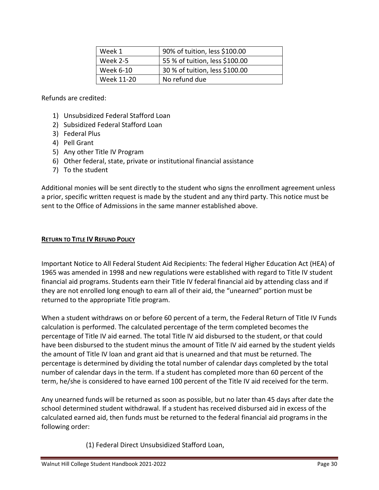| Week 1          | 90% of tuition, less \$100.00  |
|-----------------|--------------------------------|
| <b>Week 2-5</b> | 55 % of tuition, less \$100.00 |
| Week 6-10       | 30 % of tuition, less \$100.00 |
| Week 11-20      | No refund due                  |

Refunds are credited:

- 1) Unsubsidized Federal Stafford Loan
- 2) Subsidized Federal Stafford Loan
- 3) Federal Plus
- 4) Pell Grant
- 5) Any other Title IV Program
- 6) Other federal, state, private or institutional financial assistance
- 7) To the student

Additional monies will be sent directly to the student who signs the enrollment agreement unless a prior, specific written request is made by the student and any third party. This notice must be sent to the Office of Admissions in the same manner established above.

#### <span id="page-30-0"></span>**RETURN TO TITLE IV REFUND POLICY**

Important Notice to All Federal Student Aid Recipients: The federal Higher Education Act (HEA) of 1965 was amended in 1998 and new regulations were established with regard to Title IV student financial aid programs. Students earn their Title IV federal financial aid by attending class and if they are not enrolled long enough to earn all of their aid, the "unearned" portion must be returned to the appropriate Title program.

When a student withdraws on or before 60 percent of a term, the Federal Return of Title IV Funds calculation is performed. The calculated percentage of the term completed becomes the percentage of Title IV aid earned. The total Title IV aid disbursed to the student, or that could have been disbursed to the student minus the amount of Title IV aid earned by the student yields the amount of Title IV loan and grant aid that is unearned and that must be returned. The percentage is determined by dividing the total number of calendar days completed by the total number of calendar days in the term. If a student has completed more than 60 percent of the term, he/she is considered to have earned 100 percent of the Title IV aid received for the term.

Any unearned funds will be returned as soon as possible, but no later than 45 days after date the school determined student withdrawal. If a student has received disbursed aid in excess of the calculated earned aid, then funds must be returned to the federal financial aid programs in the following order:

(1) Federal Direct Unsubsidized Stafford Loan,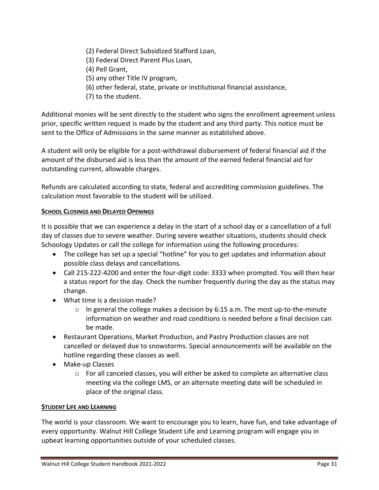- (2) Federal Direct Subsidized Stafford Loan,
- (3) Federal Direct Parent Plus Loan,
- (4) Pell Grant,
- (5) any other Title IV program,
- (6) other federal, state, private or institutional financial assistance,
- (7) to the student.

Additional monies will be sent directly to the student who signs the enrollment agreement unless prior, specific written request is made by the student and any third party. This notice must be sent to the Office of Admissions in the same manner as established above.

A student will only be eligible for a post-withdrawal disbursement of federal financial aid if the amount of the disbursed aid is less than the amount of the earned federal financial aid for outstanding current, allowable charges.

Refunds are calculated according to state, federal and accrediting commission guidelines. The calculation most favorable to the student will be utilized.

#### <span id="page-31-0"></span>**SCHOOL CLOSINGS AND DELAYED OPENINGS**

It is possible that we can experience a delay in the start of a school day or a cancellation of a full day of classes due to severe weather. During severe weather situations, students should check Schoology Updates or call the college for information using the following procedures:

- The college has set up a special "hotline" for you to get updates and information about possible class delays and cancellations.
- Call 215-222-4200 and enter the four-digit code: 3333 when prompted. You will then hear a status report for the day. Check the number frequently during the day as the status may change.
- What time is a decision made?
	- o In general the college makes a decision by 6:15 a.m. The most up-to-the-minute information on weather and road conditions is needed before a final decision can be made.
- Restaurant Operations, Market Production, and Pastry Production classes are not cancelled or delayed due to snowstorms. Special announcements will be available on the hotline regarding these classes as well.
- Make-up Classes
	- o For all canceled classes, you will either be asked to complete an alternative class meeting via the college LMS, or an alternate meeting date will be scheduled in place of the original class.

#### <span id="page-31-1"></span>**STUDENT LIFE AND LEARNING**

The world is your classroom. We want to encourage you to learn, have fun, and take advantage of every opportunity. Walnut Hill College Student Life and Learning program will engage you in upbeat learning opportunities outside of your scheduled classes.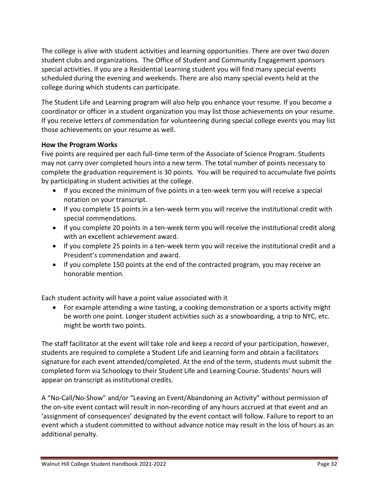The college is alive with student activities and learning opportunities. There are over two dozen student clubs and organizations. The Office of Student and Community Engagement sponsors special activities. If you are a Residential Learning student you will find many special events scheduled during the evening and weekends. There are also many special events held at the college during which students can participate.

The Student Life and Learning program will also help you enhance your resume. If you become a coordinator or officer in a student organization you may list those achievements on your resume. If you receive letters of commendation for volunteering during special college events you may list those achievements on your resume as well.

#### <span id="page-32-0"></span>**How the Program Works**

Five points are required per each full-time term of the Associate of Science Program. Students may not carry over completed hours into a new term. The total number of points necessary to complete the graduation requirement is 30 points. You will be required to accumulate five points by participating in student activities at the college.

- If you exceed the minimum of five points in a ten-week term you will receive a special notation on your transcript.
- If you complete 15 points in a ten-week term you will receive the institutional credit with special commendations.
- If you complete 20 points in a ten-week term you will receive the institutional credit along with an excellent achievement award.
- If you complete 25 points in a ten-week term you will receive the institutional credit and a President's commendation and award.
- If you complete 150 points at the end of the contracted program, you may receive an honorable mention.

Each student activity will have a point value associated with it

• For example attending a wine tasting, a cooking demonstration or a sports activity might be worth one point. Longer student activities such as a snowboarding, a trip to NYC, etc. might be worth two points.

The staff facilitator at the event will take role and keep a record of your participation, however, students are required to complete a Student Life and Learning form and obtain a facilitators signature for each event attended/completed. At the end of the term, students must submit the completed form via Schoology to their Student Life and Learning Course. Students' hours will appear on transcript as institutional credits.

A "No-Call/No-Show" and/or "Leaving an Event/Abandoning an Activity" without permission of the on-site event contact will result in non-recording of any hours accrued at that event and an 'assignment of consequences' designated by the event contact will follow. Failure to report to an event which a student committed to without advance notice may result in the loss of hours as an additional penalty.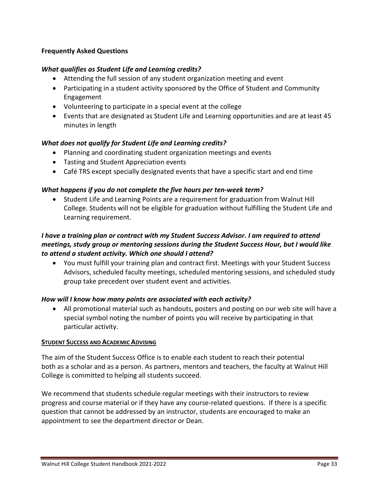#### <span id="page-33-0"></span>**Frequently Asked Questions**

#### *What qualifies as Student Life and Learning credits?*

- Attending the full session of any student organization meeting and event
- Participating in a student activity sponsored by the Office of Student and Community Engagement
- Volunteering to participate in a special event at the college
- Events that are designated as Student Life and Learning opportunities and are at least 45 minutes in length

#### *What does not qualify for Student Life and Learning credits?*

- Planning and coordinating student organization meetings and events
- Tasting and Student Appreciation events
- Café TRS except specially designated events that have a specific start and end time

#### *What happens if you do not complete the five hours per ten-week term?*

• Student Life and Learning Points are a requirement for graduation from Walnut Hill College. Students will not be eligible for graduation without fulfilling the Student Life and Learning requirement.

### *I have a training plan or contract with my Student Success Advisor. I am required to attend meetings, study group or mentoring sessions during the Student Success Hour, but I would like to attend a student activity. Which one should I attend?*

• You must fulfill your training plan and contract first. Meetings with your Student Success Advisors, scheduled faculty meetings, scheduled mentoring sessions, and scheduled study group take precedent over student event and activities.

#### *How will I know how many points are associated with each activity?*

• All promotional material such as handouts, posters and posting on our web site will have a special symbol noting the number of points you will receive by participating in that particular activity.

#### <span id="page-33-1"></span>**STUDENT SUCCESS AND ACADEMIC ADVISING**

The aim of the Student Success Office is to enable each student to reach their potential both as a scholar and as a person. As partners, mentors and teachers, the faculty at Walnut Hill College is committed to helping all students succeed.

We recommend that students schedule regular meetings with their instructors to review progress and course material or if they have any course-related questions. If there is a specific question that cannot be addressed by an instructor, students are encouraged to make an appointment to see the department director or Dean.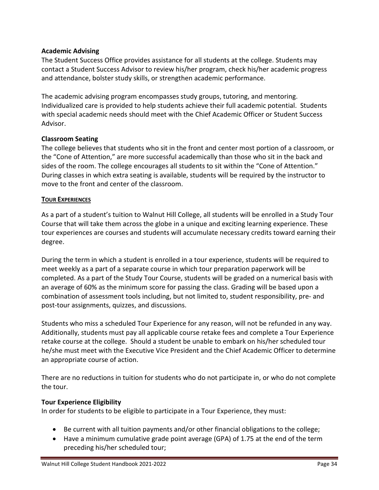#### <span id="page-34-0"></span>**Academic Advising**

The Student Success Office provides assistance for all students at the college. Students may contact a Student Success Advisor to review his/her program, check his/her academic progress and attendance, bolster study skills, or strengthen academic performance.

The academic advising program encompasses study groups, tutoring, and mentoring. Individualized care is provided to help students achieve their full academic potential. Students with special academic needs should meet with the Chief Academic Officer or Student Success Advisor.

#### <span id="page-34-1"></span>**Classroom Seating**

The college believes that students who sit in the front and center most portion of a classroom, or the "Cone of Attention," are more successful academically than those who sit in the back and sides of the room. The college encourages all students to sit within the "Cone of Attention." During classes in which extra seating is available, students will be required by the instructor to move to the front and center of the classroom.

#### <span id="page-34-2"></span>**TOUR EXPERIENCES**

As a part of a student's tuition to Walnut Hill College, all students will be enrolled in a Study Tour Course that will take them across the globe in a unique and exciting learning experience. These tour experiences are courses and students will accumulate necessary credits toward earning their degree.

During the term in which a student is enrolled in a tour experience, students will be required to meet weekly as a part of a separate course in which tour preparation paperwork will be completed. As a part of the Study Tour Course, students will be graded on a numerical basis with an average of 60% as the minimum score for passing the class. Grading will be based upon a combination of assessment tools including, but not limited to, student responsibility, pre- and post-tour assignments, quizzes, and discussions.

Students who miss a scheduled Tour Experience for any reason, will not be refunded in any way. Additionally, students must pay all applicable course retake fees and complete a Tour Experience retake course at the college. Should a student be unable to embark on his/her scheduled tour he/she must meet with the Executive Vice President and the Chief Academic Officer to determine an appropriate course of action.

There are no reductions in tuition for students who do not participate in, or who do not complete the tour.

#### <span id="page-34-3"></span>**Tour Experience Eligibility**

In order for students to be eligible to participate in a Tour Experience, they must:

- Be current with all tuition payments and/or other financial obligations to the college;
- Have a minimum cumulative grade point average (GPA) of 1.75 at the end of the term preceding his/her scheduled tour;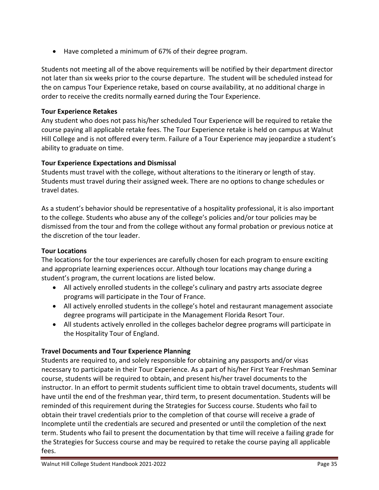• Have completed a minimum of 67% of their degree program.

Students not meeting all of the above requirements will be notified by their department director not later than six weeks prior to the course departure. The student will be scheduled instead for the on campus Tour Experience retake, based on course availability, at no additional charge in order to receive the credits normally earned during the Tour Experience.

## <span id="page-35-0"></span>**Tour Experience Retakes**

Any student who does not pass his/her scheduled Tour Experience will be required to retake the course paying all applicable retake fees. The Tour Experience retake is held on campus at Walnut Hill College and is not offered every term. Failure of a Tour Experience may jeopardize a student's ability to graduate on time.

# <span id="page-35-1"></span>**Tour Experience Expectations and Dismissal**

Students must travel with the college, without alterations to the itinerary or length of stay. Students must travel during their assigned week. There are no options to change schedules or travel dates.

As a student's behavior should be representative of a hospitality professional, it is also important to the college. Students who abuse any of the college's policies and/or tour policies may be dismissed from the tour and from the college without any formal probation or previous notice at the discretion of the tour leader.

## <span id="page-35-2"></span>**Tour Locations**

The locations for the tour experiences are carefully chosen for each program to ensure exciting and appropriate learning experiences occur. Although tour locations may change during a student's program, the current locations are listed below.

- All actively enrolled students in the college's culinary and pastry arts associate degree programs will participate in the Tour of France.
- All actively enrolled students in the college's hotel and restaurant management associate degree programs will participate in the Management Florida Resort Tour.
- All students actively enrolled in the colleges bachelor degree programs will participate in the Hospitality Tour of England.

# <span id="page-35-3"></span>**Travel Documents and Tour Experience Planning**

Students are required to, and solely responsible for obtaining any passports and/or visas necessary to participate in their Tour Experience. As a part of his/her First Year Freshman Seminar course, students will be required to obtain, and present his/her travel documents to the instructor. In an effort to permit students sufficient time to obtain travel documents, students will have until the end of the freshman year, third term, to present documentation. Students will be reminded of this requirement during the Strategies for Success course. Students who fail to obtain their travel credentials prior to the completion of that course will receive a grade of Incomplete until the credentials are secured and presented or until the completion of the next term. Students who fail to present the documentation by that time will receive a failing grade for the Strategies for Success course and may be required to retake the course paying all applicable fees.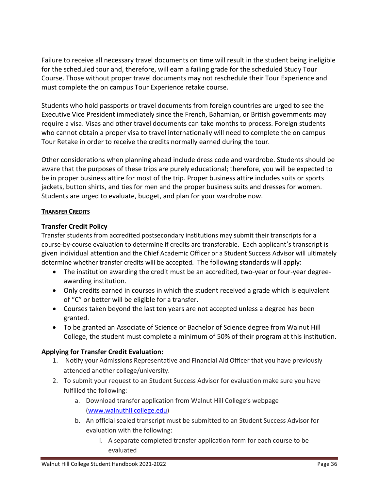Failure to receive all necessary travel documents on time will result in the student being ineligible for the scheduled tour and, therefore, will earn a failing grade for the scheduled Study Tour Course. Those without proper travel documents may not reschedule their Tour Experience and must complete the on campus Tour Experience retake course.

Students who hold passports or travel documents from foreign countries are urged to see the Executive Vice President immediately since the French, Bahamian, or British governments may require a visa. Visas and other travel documents can take months to process. Foreign students who cannot obtain a proper visa to travel internationally will need to complete the on campus Tour Retake in order to receive the credits normally earned during the tour.

Other considerations when planning ahead include dress code and wardrobe. Students should be aware that the purposes of these trips are purely educational; therefore, you will be expected to be in proper business attire for most of the trip. Proper business attire includes suits or sports jackets, button shirts, and ties for men and the proper business suits and dresses for women. Students are urged to evaluate, budget, and plan for your wardrobe now.

## **TRANSFER CREDITS**

# **Transfer Credit Policy**

Transfer students from accredited postsecondary institutions may submit their transcripts for a course-by-course evaluation to determine if credits are transferable. Each applicant's transcript is given individual attention and the Chief Academic Officer or a Student Success Advisor will ultimately determine whether transfer credits will be accepted. The following standards will apply:

- The institution awarding the credit must be an accredited, two-year or four-year degreeawarding institution.
- Only credits earned in courses in which the student received a grade which is equivalent of "C" or better will be eligible for a transfer.
- Courses taken beyond the last ten years are not accepted unless a degree has been granted.
- To be granted an Associate of Science or Bachelor of Science degree from Walnut Hill College, the student must complete a minimum of 50% of their program at this institution.

## **Applying for Transfer Credit Evaluation:**

- 1. Notify your Admissions Representative and Financial Aid Officer that you have previously attended another college/university.
- 2. To submit your request to an Student Success Advisor for evaluation make sure you have fulfilled the following:
	- a. Download transfer application from Walnut Hill College's webpage [\(www.walnuthillcollege.edu\)](http://www.walnuthillcollege.edu/)
	- b. An official sealed transcript must be submitted to an Student Success Advisor for evaluation with the following:
		- i. A separate completed transfer application form for each course to be evaluated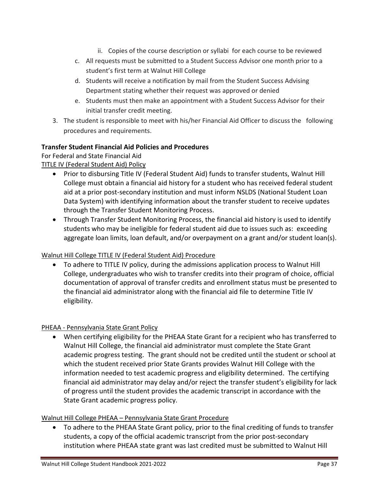- ii. Copies of the course description or syllabi for each course to be reviewed
- c. All requests must be submitted to a Student Success Advisor one month prior to a student's first term at Walnut Hill College
- d. Students will receive a notification by mail from the Student Success Advising Department stating whether their request was approved or denied
- e. Students must then make an appointment with a Student Success Advisor for their initial transfer credit meeting.
- 3. The student is responsible to meet with his/her Financial Aid Officer to discuss the following procedures and requirements.

# **Transfer Student Financial Aid Policies and Procedures**

For Federal and State Financial Aid

TITLE IV (Federal Student Aid) Policy

- Prior to disbursing Title IV (Federal Student Aid) funds to transfer students, Walnut Hill College must obtain a financial aid history for a student who has received federal student aid at a prior post-secondary institution and must inform NSLDS (National Student Loan Data System) with identifying information about the transfer student to receive updates through the Transfer Student Monitoring Process.
- Through Transfer Student Monitoring Process, the financial aid history is used to identify students who may be ineligible for federal student aid due to issues such as: exceeding aggregate loan limits, loan default, and/or overpayment on a grant and/or student loan(s).

## Walnut Hill College TITLE IV (Federal Student Aid) Procedure

• To adhere to TITLE IV policy, during the admissions application process to Walnut Hill College, undergraduates who wish to transfer credits into their program of choice, official documentation of approval of transfer credits and enrollment status must be presented to the financial aid administrator along with the financial aid file to determine Title IV eligibility.

## PHEAA - Pennsylvania State Grant Policy

• When certifying eligibility for the PHEAA State Grant for a recipient who has transferred to Walnut Hill College, the financial aid administrator must complete the State Grant academic progress testing. The grant should not be credited until the student or school at which the student received prior State Grants provides Walnut Hill College with the information needed to test academic progress and eligibility determined. The certifying financial aid administrator may delay and/or reject the transfer student's eligibility for lack of progress until the student provides the academic transcript in accordance with the State Grant academic progress policy.

## Walnut Hill College PHEAA – Pennsylvania State Grant Procedure

• To adhere to the PHEAA State Grant policy, prior to the final crediting of funds to transfer students, a copy of the official academic transcript from the prior post-secondary institution where PHEAA state grant was last credited must be submitted to Walnut Hill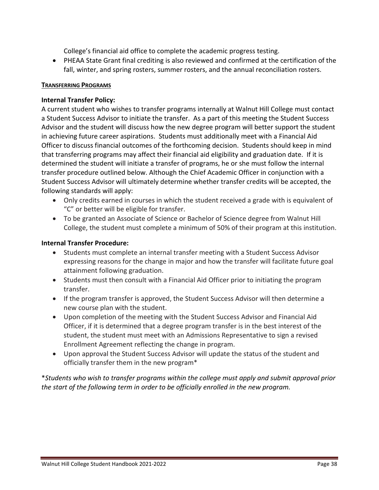College's financial aid office to complete the academic progress testing.

• PHEAA State Grant final crediting is also reviewed and confirmed at the certification of the fall, winter, and spring rosters, summer rosters, and the annual reconciliation rosters.

#### **TRANSFERRING PROGRAMS**

#### **Internal Transfer Policy:**

A current student who wishes to transfer programs internally at Walnut Hill College must contact a Student Success Advisor to initiate the transfer. As a part of this meeting the Student Success Advisor and the student will discuss how the new degree program will better support the student in achieving future career aspirations. Students must additionally meet with a Financial Aid Officer to discuss financial outcomes of the forthcoming decision. Students should keep in mind that transferring programs may affect their financial aid eligibility and graduation date. If it is determined the student will initiate a transfer of programs, he or she must follow the internal transfer procedure outlined below. Although the Chief Academic Officer in conjunction with a Student Success Advisor will ultimately determine whether transfer credits will be accepted, the following standards will apply:

- Only credits earned in courses in which the student received a grade with is equivalent of "C" or better will be eligible for transfer.
- To be granted an Associate of Science or Bachelor of Science degree from Walnut Hill College, the student must complete a minimum of 50% of their program at this institution.

#### **Internal Transfer Procedure:**

- Students must complete an internal transfer meeting with a Student Success Advisor expressing reasons for the change in major and how the transfer will facilitate future goal attainment following graduation.
- Students must then consult with a Financial Aid Officer prior to initiating the program transfer.
- If the program transfer is approved, the Student Success Advisor will then determine a new course plan with the student.
- Upon completion of the meeting with the Student Success Advisor and Financial Aid Officer, if it is determined that a degree program transfer is in the best interest of the student, the student must meet with an Admissions Representative to sign a revised Enrollment Agreement reflecting the change in program.
- Upon approval the Student Success Advisor will update the status of the student and officially transfer them in the new program\*

\**Students who wish to transfer programs within the college must apply and submit approval prior the start of the following term in order to be officially enrolled in the new program.*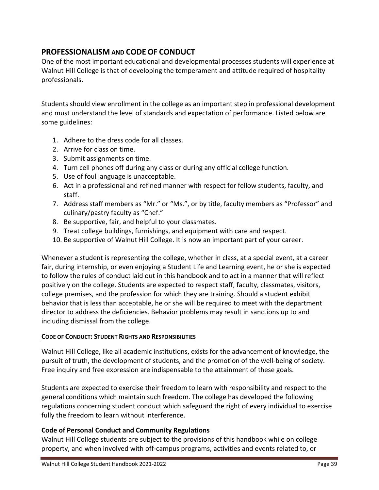# **PROFESSIONALISM AND CODE OF CONDUCT**

One of the most important educational and developmental processes students will experience at Walnut Hill College is that of developing the temperament and attitude required of hospitality professionals.

Students should view enrollment in the college as an important step in professional development and must understand the level of standards and expectation of performance. Listed below are some guidelines:

- 1. Adhere to the dress code for all classes.
- 2. Arrive for class on time.
- 3. Submit assignments on time.
- 4. Turn cell phones off during any class or during any official college function.
- 5. Use of foul language is unacceptable.
- 6. Act in a professional and refined manner with respect for fellow students, faculty, and staff.
- 7. Address staff members as "Mr." or "Ms.", or by title, faculty members as "Professor" and culinary/pastry faculty as "Chef."
- 8. Be supportive, fair, and helpful to your classmates.
- 9. Treat college buildings, furnishings, and equipment with care and respect.
- 10. Be supportive of Walnut Hill College. It is now an important part of your career.

Whenever a student is representing the college, whether in class, at a special event, at a career fair, during internship, or even enjoying a Student Life and Learning event, he or she is expected to follow the rules of conduct laid out in this handbook and to act in a manner that will reflect positively on the college. Students are expected to respect staff, faculty, classmates, visitors, college premises, and the profession for which they are training. Should a student exhibit behavior that is less than acceptable, he or she will be required to meet with the department director to address the deficiencies. Behavior problems may result in sanctions up to and including dismissal from the college.

## **CODE OF CONDUCT: STUDENT RIGHTS AND RESPONSIBILITIES**

Walnut Hill College, like all academic institutions, exists for the advancement of knowledge, the pursuit of truth, the development of students, and the promotion of the well-being of society. Free inquiry and free expression are indispensable to the attainment of these goals.

Students are expected to exercise their freedom to learn with responsibility and respect to the general conditions which maintain such freedom. The college has developed the following regulations concerning student conduct which safeguard the right of every individual to exercise fully the freedom to learn without interference.

## **Code of Personal Conduct and Community Regulations**

Walnut Hill College students are subject to the provisions of this handbook while on college property, and when involved with off-campus programs, activities and events related to, or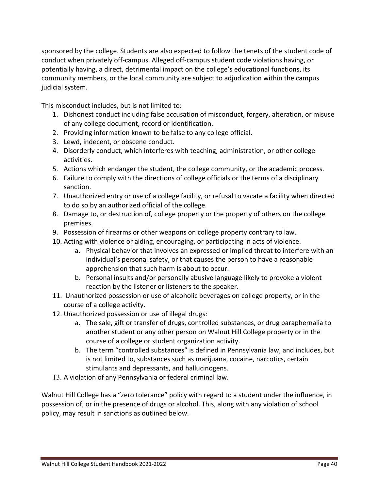sponsored by the college. Students are also expected to follow the tenets of the student code of conduct when privately off-campus. Alleged off-campus student code violations having, or potentially having, a direct, detrimental impact on the college's educational functions, its community members, or the local community are subject to adjudication within the campus judicial system.

This misconduct includes, but is not limited to:

- 1. Dishonest conduct including false accusation of misconduct, forgery, alteration, or misuse of any college document, record or identification.
- 2. Providing information known to be false to any college official.
- 3. Lewd, indecent, or obscene conduct.
- 4. Disorderly conduct, which interferes with teaching, administration, or other college activities.
- 5. Actions which endanger the student, the college community, or the academic process.
- 6. Failure to comply with the directions of college officials or the terms of a disciplinary sanction.
- 7. Unauthorized entry or use of a college facility, or refusal to vacate a facility when directed to do so by an authorized official of the college.
- 8. Damage to, or destruction of, college property or the property of others on the college premises.
- 9. Possession of firearms or other weapons on college property contrary to law.
- 10. Acting with violence or aiding, encouraging, or participating in acts of violence.
	- a. Physical behavior that involves an expressed or implied threat to interfere with an individual's personal safety, or that causes the person to have a reasonable apprehension that such harm is about to occur.
	- b. Personal insults and/or personally abusive language likely to provoke a violent reaction by the listener or listeners to the speaker.
- 11. Unauthorized possession or use of alcoholic beverages on college property, or in the course of a college activity.
- 12. Unauthorized possession or use of illegal drugs:
	- a. The sale, gift or transfer of drugs, controlled substances, or drug paraphernalia to another student or any other person on Walnut Hill College property or in the course of a college or student organization activity.
	- b. The term "controlled substances" is defined in Pennsylvania law, and includes, but is not limited to, substances such as marijuana, cocaine, narcotics, certain stimulants and depressants, and hallucinogens.
- 13. A violation of any Pennsylvania or federal criminal law.

Walnut Hill College has a "zero tolerance" policy with regard to a student under the influence, in possession of, or in the presence of drugs or alcohol. This, along with any violation of school policy, may result in sanctions as outlined below.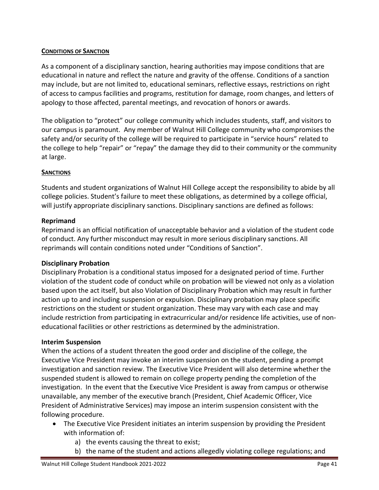## **CONDITIONS OF SANCTION**

As a component of a disciplinary sanction, hearing authorities may impose conditions that are educational in nature and reflect the nature and gravity of the offense. Conditions of a sanction may include, but are not limited to, educational seminars, reflective essays, restrictions on right of access to campus facilities and programs, restitution for damage, room changes, and letters of apology to those affected, parental meetings, and revocation of honors or awards.

The obligation to "protect" our college community which includes students, staff, and visitors to our campus is paramount. Any member of Walnut Hill College community who compromises the safety and/or security of the college will be required to participate in "service hours" related to the college to help "repair" or "repay" the damage they did to their community or the community at large.

# **SANCTIONS**

Students and student organizations of Walnut Hill College accept the responsibility to abide by all college policies. Student's failure to meet these obligations, as determined by a college official, will justify appropriate disciplinary sanctions. Disciplinary sanctions are defined as follows:

# **Reprimand**

Reprimand is an official notification of unacceptable behavior and a violation of the student code of conduct. Any further misconduct may result in more serious disciplinary sanctions. All reprimands will contain conditions noted under "Conditions of Sanction".

## **Disciplinary Probation**

Disciplinary Probation is a conditional status imposed for a designated period of time. Further violation of the student code of conduct while on probation will be viewed not only as a violation based upon the act itself, but also Violation of Disciplinary Probation which may result in further action up to and including suspension or expulsion. Disciplinary probation may place specific restrictions on the student or student organization. These may vary with each case and may include restriction from participating in extracurricular and/or residence life activities, use of noneducational facilities or other restrictions as determined by the administration.

## **Interim Suspension**

When the actions of a student threaten the good order and discipline of the college, the Executive Vice President may invoke an interim suspension on the student, pending a prompt investigation and sanction review. The Executive Vice President will also determine whether the suspended student is allowed to remain on college property pending the completion of the investigation. In the event that the Executive Vice President is away from campus or otherwise unavailable, any member of the executive branch (President, Chief Academic Officer, Vice President of Administrative Services) may impose an interim suspension consistent with the following procedure.

- The Executive Vice President initiates an interim suspension by providing the President with information of:
	- a) the events causing the threat to exist;
	- b) the name of the student and actions allegedly violating college regulations; and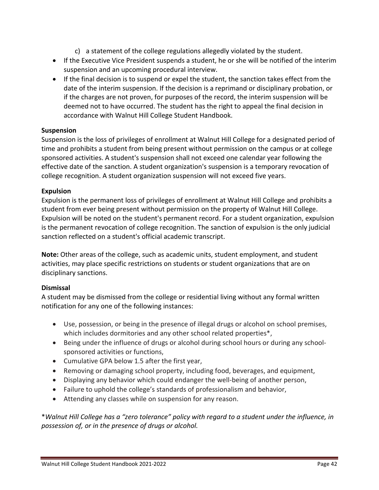- c) a statement of the college regulations allegedly violated by the student.
- If the Executive Vice President suspends a student, he or she will be notified of the interim suspension and an upcoming procedural interview.
- If the final decision is to suspend or expel the student, the sanction takes effect from the date of the interim suspension. If the decision is a reprimand or disciplinary probation, or if the charges are not proven, for purposes of the record, the interim suspension will be deemed not to have occurred. The student has the right to appeal the final decision in accordance with Walnut Hill College Student Handbook.

#### **Suspension**

Suspension is the loss of privileges of enrollment at Walnut Hill College for a designated period of time and prohibits a student from being present without permission on the campus or at college sponsored activities. A student's suspension shall not exceed one calendar year following the effective date of the sanction. A student organization's suspension is a temporary revocation of college recognition. A student organization suspension will not exceed five years.

#### **Expulsion**

Expulsion is the permanent loss of privileges of enrollment at Walnut Hill College and prohibits a student from ever being present without permission on the property of Walnut Hill College. Expulsion will be noted on the student's permanent record. For a student organization, expulsion is the permanent revocation of college recognition. The sanction of expulsion is the only judicial sanction reflected on a student's official academic transcript.

**Note:** Other areas of the college, such as academic units, student employment, and student activities, may place specific restrictions on students or student organizations that are on disciplinary sanctions.

## **Dismissal**

A student may be dismissed from the college or residential living without any formal written notification for any one of the following instances:

- Use, possession, or being in the presence of illegal drugs or alcohol on school premises, which includes dormitories and any other school related properties\*,
- Being under the influence of drugs or alcohol during school hours or during any schoolsponsored activities or functions,
- Cumulative GPA below 1.5 after the first year,
- Removing or damaging school property, including food, beverages, and equipment,
- Displaying any behavior which could endanger the well-being of another person,
- Failure to uphold the college's standards of professionalism and behavior,
- Attending any classes while on suspension for any reason.

\**Walnut Hill College has a "zero tolerance" policy with regard to a student under the influence, in possession of, or in the presence of drugs or alcohol.*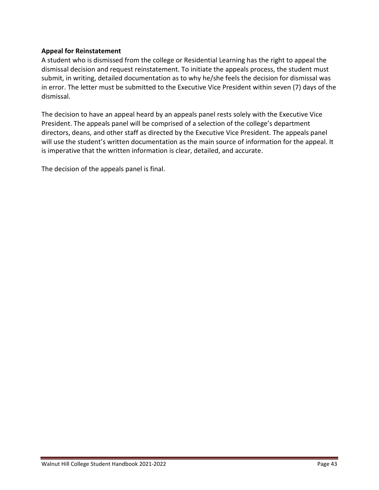## **Appeal for Reinstatement**

A student who is dismissed from the college or Residential Learning has the right to appeal the dismissal decision and request reinstatement. To initiate the appeals process, the student must submit, in writing, detailed documentation as to why he/she feels the decision for dismissal was in error. The letter must be submitted to the Executive Vice President within seven (7) days of the dismissal.

The decision to have an appeal heard by an appeals panel rests solely with the Executive Vice President. The appeals panel will be comprised of a selection of the college's department directors, deans, and other staff as directed by the Executive Vice President. The appeals panel will use the student's written documentation as the main source of information for the appeal. It is imperative that the written information is clear, detailed, and accurate.

The decision of the appeals panel is final.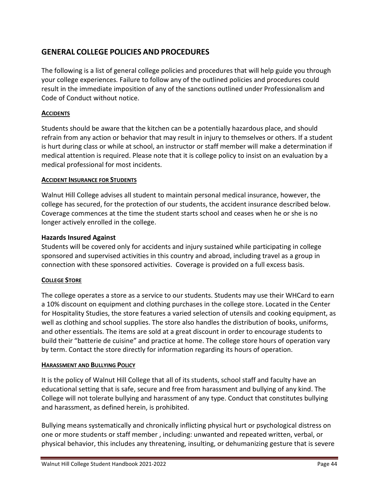# **GENERAL COLLEGE POLICIES AND PROCEDURES**

The following is a list of general college policies and procedures that will help guide you through your college experiences. Failure to follow any of the outlined policies and procedures could result in the immediate imposition of any of the sanctions outlined under Professionalism and Code of Conduct without notice.

## **ACCIDENTS**

Students should be aware that the kitchen can be a potentially hazardous place, and should refrain from any action or behavior that may result in injury to themselves or others. If a student is hurt during class or while at school, an instructor or staff member will make a determination if medical attention is required. Please note that it is college policy to insist on an evaluation by a medical professional for most incidents.

# **ACCIDENT INSURANCE FOR STUDENTS**

Walnut Hill College advises all student to maintain personal medical insurance, however, the college has secured, for the protection of our students, the accident insurance described below. Coverage commences at the time the student starts school and ceases when he or she is no longer actively enrolled in the college.

## **Hazards Insured Against**

Students will be covered only for accidents and injury sustained while participating in college sponsored and supervised activities in this country and abroad, including travel as a group in connection with these sponsored activities. Coverage is provided on a full excess basis.

# **COLLEGE STORE**

The college operates a store as a service to our students. Students may use their WHCard to earn a 10% discount on equipment and clothing purchases in the college store. Located in the Center for Hospitality Studies, the store features a varied selection of utensils and cooking equipment, as well as clothing and school supplies. The store also handles the distribution of books, uniforms, and other essentials. The items are sold at a great discount in order to encourage students to build their "batterie de cuisine" and practice at home. The college store hours of operation vary by term. Contact the store directly for information regarding its hours of operation.

## **HARASSMENT AND BULLYING POLICY**

It is the policy of Walnut Hill College that all of its students, school staff and faculty have an educational setting that is safe, secure and free from harassment and bullying of any kind. The College will not tolerate bullying and harassment of any type. Conduct that constitutes bullying and harassment, as defined herein, is prohibited.

Bullying means systematically and chronically inflicting physical hurt or psychological distress on one or more students or staff member , including: unwanted and repeated written, verbal, or physical behavior, this includes any threatening, insulting, or dehumanizing gesture that is severe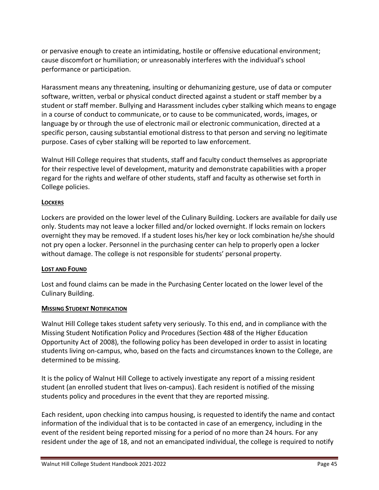or pervasive enough to create an intimidating, hostile or offensive educational environment; cause discomfort or humiliation; or unreasonably interferes with the individual's school performance or participation.

Harassment means any threatening, insulting or dehumanizing gesture, use of data or computer software, written, verbal or physical conduct directed against a student or staff member by a student or staff member. Bullying and Harassment includes cyber stalking which means to engage in a course of conduct to communicate, or to cause to be communicated, words, images, or language by or through the use of electronic mail or electronic communication, directed at a specific person, causing substantial emotional distress to that person and serving no legitimate purpose. Cases of cyber stalking will be reported to law enforcement.

Walnut Hill College requires that students, staff and faculty conduct themselves as appropriate for their respective level of development, maturity and demonstrate capabilities with a proper regard for the rights and welfare of other students, staff and faculty as otherwise set forth in College policies.

#### **LOCKERS**

Lockers are provided on the lower level of the Culinary Building. Lockers are available for daily use only. Students may not leave a locker filled and/or locked overnight. If locks remain on lockers overnight they may be removed. If a student loses his/her key or lock combination he/she should not pry open a locker. Personnel in the purchasing center can help to properly open a locker without damage. The college is not responsible for students' personal property.

#### **LOST AND FOUND**

Lost and found claims can be made in the Purchasing Center located on the lower level of the Culinary Building.

## **MISSING STUDENT NOTIFICATION**

Walnut Hill College takes student safety very seriously. To this end, and in compliance with the Missing Student Notification Policy and Procedures (Section 488 of the Higher Education Opportunity Act of 2008), the following policy has been developed in order to assist in locating students living on-campus, who, based on the facts and circumstances known to the College, are determined to be missing.

It is the policy of Walnut Hill College to actively investigate any report of a missing resident student (an enrolled student that lives on-campus). Each resident is notified of the missing students policy and procedures in the event that they are reported missing.

Each resident, upon checking into campus housing, is requested to identify the name and contact information of the individual that is to be contacted in case of an emergency, including in the event of the resident being reported missing for a period of no more than 24 hours. For any resident under the age of 18, and not an emancipated individual, the college is required to notify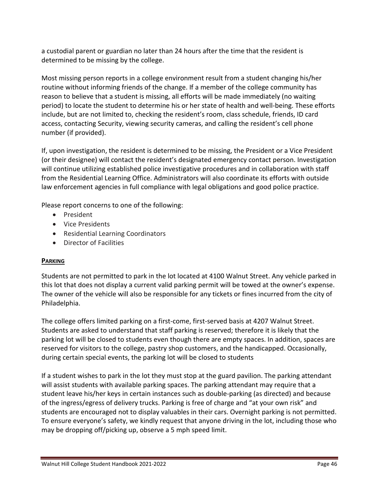a custodial parent or guardian no later than 24 hours after the time that the resident is determined to be missing by the college.

Most missing person reports in a college environment result from a student changing his/her routine without informing friends of the change. If a member of the college community has reason to believe that a student is missing, all efforts will be made immediately (no waiting period) to locate the student to determine his or her state of health and well-being. These efforts include, but are not limited to, checking the resident's room, class schedule, friends, ID card access, contacting Security, viewing security cameras, and calling the resident's cell phone number (if provided).

If, upon investigation, the resident is determined to be missing, the President or a Vice President (or their designee) will contact the resident's designated emergency contact person. Investigation will continue utilizing established police investigative procedures and in collaboration with staff from the Residential Learning Office. Administrators will also coordinate its efforts with outside law enforcement agencies in full compliance with legal obligations and good police practice.

Please report concerns to one of the following:

- President
- Vice Presidents
- Residential Learning Coordinators
- Director of Facilities

## **PARKING**

Students are not permitted to park in the lot located at 4100 Walnut Street. Any vehicle parked in this lot that does not display a current valid parking permit will be towed at the owner's expense. The owner of the vehicle will also be responsible for any tickets or fines incurred from the city of Philadelphia.

The college offers limited parking on a first-come, first-served basis at 4207 Walnut Street. Students are asked to understand that staff parking is reserved; therefore it is likely that the parking lot will be closed to students even though there are empty spaces. In addition, spaces are reserved for visitors to the college, pastry shop customers, and the handicapped. Occasionally, during certain special events, the parking lot will be closed to students

If a student wishes to park in the lot they must stop at the guard pavilion. The parking attendant will assist students with available parking spaces. The parking attendant may require that a student leave his/her keys in certain instances such as double-parking (as directed) and because of the ingress/egress of delivery trucks. Parking is free of charge and "at your own risk" and students are encouraged not to display valuables in their cars. Overnight parking is not permitted. To ensure everyone's safety, we kindly request that anyone driving in the lot, including those who may be dropping off/picking up, observe a 5 mph speed limit.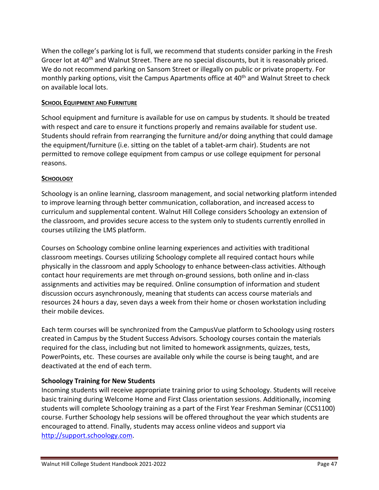When the college's parking lot is full, we recommend that students consider parking in the Fresh Grocer lot at 40<sup>th</sup> and Walnut Street. There are no special discounts, but it is reasonably priced. We do not recommend parking on Sansom Street or illegally on public or private property. For monthly parking options, visit the Campus Apartments office at 40<sup>th</sup> and Walnut Street to check on available local lots.

#### **SCHOOL EQUIPMENT AND FURNITURE**

School equipment and furniture is available for use on campus by students. It should be treated with respect and care to ensure it functions properly and remains available for student use. Students should refrain from rearranging the furniture and/or doing anything that could damage the equipment/furniture (i.e. sitting on the tablet of a tablet-arm chair). Students are not permitted to remove college equipment from campus or use college equipment for personal reasons.

#### **SCHOOLOGY**

Schoology is an online learning, classroom management, and social networking platform intended to improve learning through better communication, collaboration, and increased access to curriculum and supplemental content. Walnut Hill College considers Schoology an extension of the classroom, and provides secure access to the system only to students currently enrolled in courses utilizing the LMS platform.

Courses on Schoology combine online learning experiences and activities with traditional classroom meetings. Courses utilizing Schoology complete all required contact hours while physically in the classroom and apply Schoology to enhance between-class activities. Although contact hour requirements are met through on-ground sessions, both online and in-class assignments and activities may be required. Online consumption of information and student discussion occurs asynchronously, meaning that students can access course materials and resources 24 hours a day, seven days a week from their home or chosen workstation including their mobile devices.

Each term courses will be synchronized from the CampusVue platform to Schoology using rosters created in Campus by the Student Success Advisors. Schoology courses contain the materials required for the class, including but not limited to homework assignments, quizzes, tests, PowerPoints, etc. These courses are available only while the course is being taught, and are deactivated at the end of each term.

## **Schoology Training for New Students**

Incoming students will receive appropriate training prior to using Schoology. Students will receive basic training during Welcome Home and First Class orientation sessions. Additionally, incoming students will complete Schoology training as a part of the First Year Freshman Seminar (CCS1100) course. Further Schoology help sessions will be offered throughout the year which students are encouraged to attend. Finally, students may access online videos and support via [http://support.schoology.com.](http://support.schoology.com/)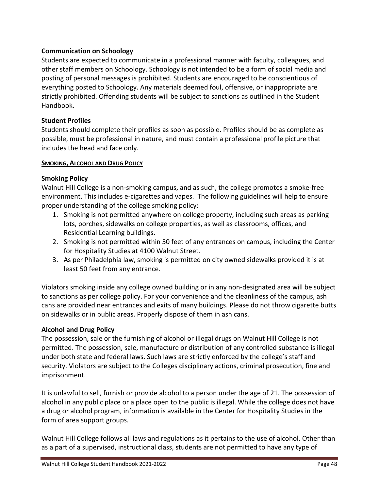# **Communication on Schoology**

Students are expected to communicate in a professional manner with faculty, colleagues, and other staff members on Schoology. Schoology is not intended to be a form of social media and posting of personal messages is prohibited. Students are encouraged to be conscientious of everything posted to Schoology. Any materials deemed foul, offensive, or inappropriate are strictly prohibited. Offending students will be subject to sanctions as outlined in the Student Handbook.

# **Student Profiles**

Students should complete their profiles as soon as possible. Profiles should be as complete as possible, must be professional in nature, and must contain a professional profile picture that includes the head and face only.

## **SMOKING, ALCOHOL AND DRUG POLICY**

# **Smoking Policy**

Walnut Hill College is a non-smoking campus, and as such, the college promotes a smoke-free environment. This includes e-cigarettes and vapes. The following guidelines will help to ensure proper understanding of the college smoking policy:

- 1. Smoking is not permitted anywhere on college property, including such areas as parking lots, porches, sidewalks on college properties, as well as classrooms, offices, and Residential Learning buildings.
- 2. Smoking is not permitted within 50 feet of any entrances on campus, including the Center for Hospitality Studies at 4100 Walnut Street.
- 3. As per Philadelphia law, smoking is permitted on city owned sidewalks provided it is at least 50 feet from any entrance.

Violators smoking inside any college owned building or in any non-designated area will be subject to sanctions as per college policy. For your convenience and the cleanliness of the campus, ash cans are provided near entrances and exits of many buildings. Please do not throw cigarette butts on sidewalks or in public areas. Properly dispose of them in ash cans.

# **Alcohol and Drug Policy**

The possession, sale or the furnishing of alcohol or illegal drugs on Walnut Hill College is not permitted. The possession, sale, manufacture or distribution of any controlled substance is illegal under both state and federal laws. Such laws are strictly enforced by the college's staff and security. Violators are subject to the Colleges disciplinary actions, criminal prosecution, fine and imprisonment.

It is unlawful to sell, furnish or provide alcohol to a person under the age of 21. The possession of alcohol in any public place or a place open to the public is illegal. While the college does not have a drug or alcohol program, information is available in the Center for Hospitality Studies in the form of area support groups.

Walnut Hill College follows all laws and regulations as it pertains to the use of alcohol. Other than as a part of a supervised, instructional class, students are not permitted to have any type of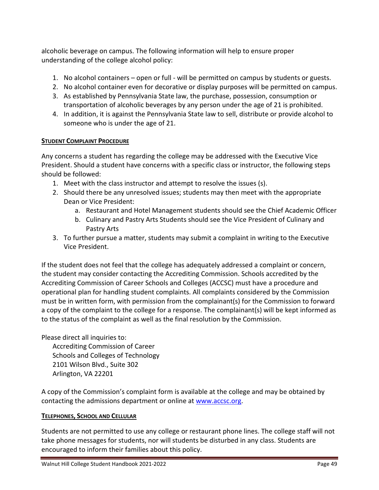alcoholic beverage on campus. The following information will help to ensure proper understanding of the college alcohol policy:

- 1. No alcohol containers open or full will be permitted on campus by students or guests.
- 2. No alcohol container even for decorative or display purposes will be permitted on campus.
- 3. As established by Pennsylvania State law, the purchase, possession, consumption or transportation of alcoholic beverages by any person under the age of 21 is prohibited.
- 4. In addition, it is against the Pennsylvania State law to sell, distribute or provide alcohol to someone who is under the age of 21.

#### **STUDENT COMPLAINT PROCEDURE**

Any concerns a student has regarding the college may be addressed with the Executive Vice President. Should a student have concerns with a specific class or instructor, the following steps should be followed:

- 1. Meet with the class instructor and attempt to resolve the issues (s).
- 2. Should there be any unresolved issues; students may then meet with the appropriate Dean or Vice President:
	- a. Restaurant and Hotel Management students should see the Chief Academic Officer
	- b. Culinary and Pastry Arts Students should see the Vice President of Culinary and Pastry Arts
- 3. To further pursue a matter, students may submit a complaint in writing to the Executive Vice President.

If the student does not feel that the college has adequately addressed a complaint or concern, the student may consider contacting the Accrediting Commission. Schools accredited by the Accrediting Commission of Career Schools and Colleges (ACCSC) must have a procedure and operational plan for handling student complaints. All complaints considered by the Commission must be in written form, with permission from the complainant(s) for the Commission to forward a copy of the complaint to the college for a response. The complainant(s) will be kept informed as to the status of the complaint as well as the final resolution by the Commission.

Please direct all inquiries to:

Accrediting Commission of Career Schools and Colleges of Technology 2101 Wilson Blvd., Suite 302 Arlington, VA 22201

A copy of the Commission's complaint form is available at the college and may be obtained by contacting the admissions department or online at [www.accsc.org.](http://www.accsc.org/)

## **TELEPHONES, SCHOOL AND CELLULAR**

Students are not permitted to use any college or restaurant phone lines. The college staff will not take phone messages for students, nor will students be disturbed in any class. Students are encouraged to inform their families about this policy.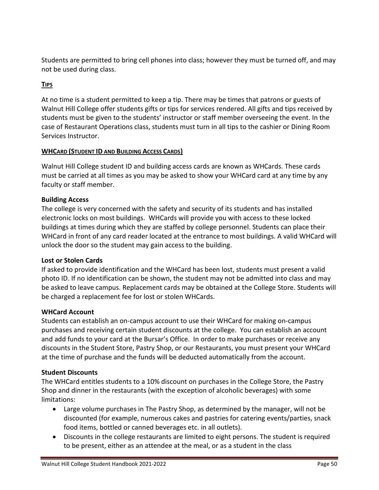Students are permitted to bring cell phones into class; however they must be turned off, and may not be used during class.

## **TIPS**

At no time is a student permitted to keep a tip. There may be times that patrons or guests of Walnut Hill College offer students gifts or tips for services rendered. All gifts and tips received by students must be given to the students' instructor or staff member overseeing the event. In the case of Restaurant Operations class, students must turn in all tips to the cashier or Dining Room Services Instructor.

## **WHCARD (STUDENT ID AND BUILDING ACCESS CARDS)**

Walnut Hill College student ID and building access cards are known as WHCards. These cards must be carried at all times as you may be asked to show your WHCard card at any time by any faculty or staff member.

## **Building Access**

The college is very concerned with the safety and security of its students and has installed electronic locks on most buildings. WHCards will provide you with access to these locked buildings at times during which they are staffed by college personnel. Students can place their WHCard in front of any card reader located at the entrance to most buildings. A valid WHCard will unlock the door so the student may gain access to the building.

## **Lost or Stolen Cards**

If asked to provide identification and the WHCard has been lost, students must present a valid photo ID. If no identification can be shown, the student may not be admitted into class and may be asked to leave campus. Replacement cards may be obtained at the College Store. Students will be charged a replacement fee for lost or stolen WHCards.

## **WHCard Account**

Students can establish an on-campus account to use their WHCard for making on-campus purchases and receiving certain student discounts at the college. You can establish an account and add funds to your card at the Bursar's Office. In order to make purchases or receive any discounts in the Student Store, Pastry Shop, or our Restaurants, you must present your WHCard at the time of purchase and the funds will be deducted automatically from the account.

## **Student Discounts**

The WHCard entitles students to a 10% discount on purchases in the College Store, the Pastry Shop and dinner in the restaurants (with the exception of alcoholic beverages) with some limitations:

- Large volume purchases in The Pastry Shop, as determined by the manager, will not be discounted (for example, numerous cakes and pastries for catering events/parties, snack food items, bottled or canned beverages etc. in all outlets).
- Discounts in the college restaurants are limited to eight persons. The student is required to be present, either as an attendee at the meal, or as a student in the class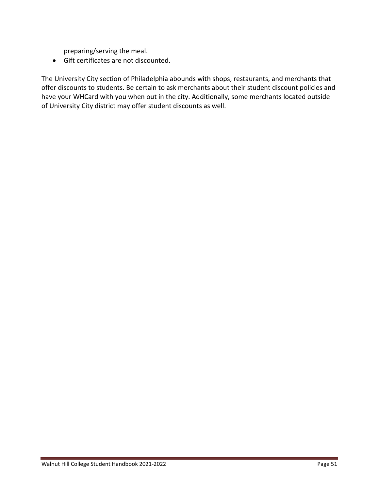preparing/serving the meal.

• Gift certificates are not discounted.

The University City section of Philadelphia abounds with shops, restaurants, and merchants that offer discounts to students. Be certain to ask merchants about their student discount policies and have your WHCard with you when out in the city. Additionally, some merchants located outside of University City district may offer student discounts as well.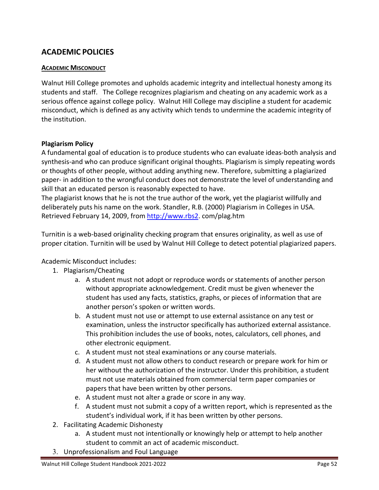# **ACADEMIC POLICIES**

## **ACADEMIC MISCONDUCT**

Walnut Hill College promotes and upholds academic integrity and intellectual honesty among its students and staff. The College recognizes plagiarism and cheating on any academic work as a serious offence against college policy. Walnut Hill College may discipline a student for academic misconduct, which is defined as any activity which tends to undermine the academic integrity of the institution.

## **Plagiarism Policy**

A fundamental goal of education is to produce students who can evaluate ideas-both analysis and synthesis-and who can produce significant original thoughts. Plagiarism is simply repeating words or thoughts of other people, without adding anything new. Therefore, submitting a plagiarized paper- in addition to the wrongful conduct does not demonstrate the level of understanding and skill that an educated person is reasonably expected to have.

The plagiarist knows that he is not the true author of the work, yet the plagiarist willfully and deliberately puts his name on the work. Standler, R.B. (2000) Plagiarism in Colleges in USA. Retrieved February 14, 2009, from [http://www.rbs2.](http://www.rbs2/)com/plag.htm

Turnitin is a web-based originality checking program that ensures originality, as well as use of proper citation. Turnitin will be used by Walnut Hill College to detect potential plagiarized papers.

Academic Misconduct includes:

- 1. Plagiarism/Cheating
	- a. A student must not adopt or reproduce words or statements of another person without appropriate acknowledgement. Credit must be given whenever the student has used any facts, statistics, graphs, or pieces of information that are another person's spoken or written words.
	- b. A student must not use or attempt to use external assistance on any test or examination, unless the instructor specifically has authorized external assistance. This prohibition includes the use of books, notes, calculators, cell phones, and other electronic equipment.
	- c. A student must not steal examinations or any course materials.
	- d. A student must not allow others to conduct research or prepare work for him or her without the authorization of the instructor. Under this prohibition, a student must not use materials obtained from commercial term paper companies or papers that have been written by other persons.
	- e. A student must not alter a grade or score in any way.
	- f. A student must not submit a copy of a written report, which is represented as the student's individual work, if it has been written by other persons.
- 2. Facilitating Academic Dishonesty
	- a. A student must not intentionally or knowingly help or attempt to help another student to commit an act of academic misconduct.
- 3. Unprofessionalism and Foul Language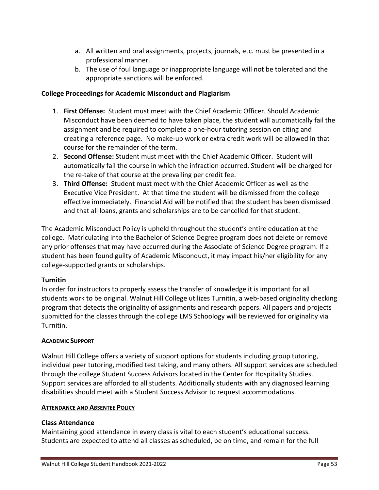- a. All written and oral assignments, projects, journals, etc. must be presented in a professional manner.
- b. The use of foul language or inappropriate language will not be tolerated and the appropriate sanctions will be enforced.

#### **College Proceedings for Academic Misconduct and Plagiarism**

- 1. **First Offense:** Student must meet with the Chief Academic Officer. Should Academic Misconduct have been deemed to have taken place, the student will automatically fail the assignment and be required to complete a one-hour tutoring session on citing and creating a reference page. No make-up work or extra credit work will be allowed in that course for the remainder of the term.
- 2. **Second Offense:** Student must meet with the Chief Academic Officer. Student will automatically fail the course in which the infraction occurred. Student will be charged for the re-take of that course at the prevailing per credit fee.
- 3. **Third Offense:** Student must meet with the Chief Academic Officer as well as the Executive Vice President. At that time the student will be dismissed from the college effective immediately. Financial Aid will be notified that the student has been dismissed and that all loans, grants and scholarships are to be cancelled for that student.

The Academic Misconduct Policy is upheld throughout the student's entire education at the college. Matriculating into the Bachelor of Science Degree program does not delete or remove any prior offenses that may have occurred during the Associate of Science Degree program. If a student has been found guilty of Academic Misconduct, it may impact his/her eligibility for any college-supported grants or scholarships.

#### **Turnitin**

In order for instructors to properly assess the transfer of knowledge it is important for all students work to be original. Walnut Hill College utilizes Turnitin, a web-based originality checking program that detects the originality of assignments and research papers. All papers and projects submitted for the classes through the college LMS Schoology will be reviewed for originality via Turnitin.

#### **ACADEMIC SUPPORT**

Walnut Hill College offers a variety of support options for students including group tutoring, individual peer tutoring, modified test taking, and many others. All support services are scheduled through the college Student Success Advisors located in the Center for Hospitality Studies. Support services are afforded to all students. Additionally students with any diagnosed learning disabilities should meet with a Student Success Advisor to request accommodations.

#### **ATTENDANCE AND ABSENTEE POLICY**

#### **Class Attendance**

Maintaining good attendance in every class is vital to each student's educational success. Students are expected to attend all classes as scheduled, be on time, and remain for the full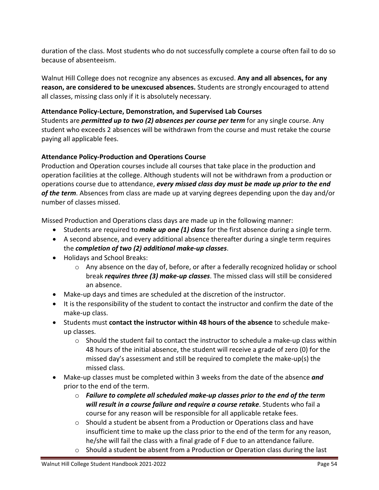duration of the class. Most students who do not successfully complete a course often fail to do so because of absenteeism.

Walnut Hill College does not recognize any absences as excused. **Any and all absences, for any reason, are considered to be unexcused absences.** Students are strongly encouraged to attend all classes, missing class only if it is absolutely necessary.

# **Attendance Policy-Lecture, Demonstration, and Supervised Lab Courses**

Students are *permitted up to two (2) absences per course per term* for any single course. Any student who exceeds 2 absences will be withdrawn from the course and must retake the course paying all applicable fees.

# **Attendance Policy-Production and Operations Course**

Production and Operation courses include all courses that take place in the production and operation facilities at the college. Although students will not be withdrawn from a production or operations course due to attendance, *every missed class day must be made up prior to the end of the term*. Absences from class are made up at varying degrees depending upon the day and/or number of classes missed.

Missed Production and Operations class days are made up in the following manner:

- Students are required to *make up one (1) class* for the first absence during a single term.
- A second absence, and every additional absence thereafter during a single term requires the *completion of two (2) additional make-up classes*.
- Holidays and School Breaks:
	- $\circ$  Any absence on the day of, before, or after a federally recognized holiday or school break *requires three (3) make-up classes*. The missed class will still be considered an absence.
- Make-up days and times are scheduled at the discretion of the instructor.
- It is the responsibility of the student to contact the instructor and confirm the date of the make-up class.
- Students must **contact the instructor within 48 hours of the absence** to schedule makeup classes.
	- $\circ$  Should the student fail to contact the instructor to schedule a make-up class within 48 hours of the initial absence, the student will receive a grade of zero (0) for the missed day's assessment and still be required to complete the make-up(s) the missed class.
- Make-up classes must be completed within 3 weeks from the date of the absence *and* prior to the end of the term.
	- o *Failure to complete all scheduled make-up classes prior to the end of the term will result in a course failure and require a course retake*. Students who fail a course for any reason will be responsible for all applicable retake fees.
	- o Should a student be absent from a Production or Operations class and have insufficient time to make up the class prior to the end of the term for any reason, he/she will fail the class with a final grade of F due to an attendance failure.
	- $\circ$  Should a student be absent from a Production or Operation class during the last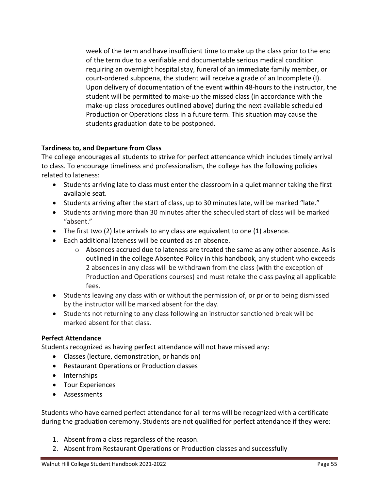week of the term and have insufficient time to make up the class prior to the end of the term due to a verifiable and documentable serious medical condition requiring an overnight hospital stay, funeral of an immediate family member, or court-ordered subpoena, the student will receive a grade of an Incomplete (I). Upon delivery of documentation of the event within 48-hours to the instructor, the student will be permitted to make-up the missed class (in accordance with the make-up class procedures outlined above) during the next available scheduled Production or Operations class in a future term. This situation may cause the students graduation date to be postponed.

## **Tardiness to, and Departure from Class**

The college encourages all students to strive for perfect attendance which includes timely arrival to class. To encourage timeliness and professionalism, the college has the following policies related to lateness:

- Students arriving late to class must enter the classroom in a quiet manner taking the first available seat.
- Students arriving after the start of class, up to 30 minutes late, will be marked "late."
- Students arriving more than 30 minutes after the scheduled start of class will be marked "absent."
- The first two (2) late arrivals to any class are equivalent to one (1) absence.
- Each additional lateness will be counted as an absence.
	- o Absences accrued due to lateness are treated the same as any other absence. As is outlined in the college Absentee Policy in this handbook, any student who exceeds 2 absences in any class will be withdrawn from the class (with the exception of Production and Operations courses) and must retake the class paying all applicable fees.
- Students leaving any class with or without the permission of, or prior to being dismissed by the instructor will be marked absent for the day.
- Students not returning to any class following an instructor sanctioned break will be marked absent for that class.

# **Perfect Attendance**

Students recognized as having perfect attendance will not have missed any:

- Classes (lecture, demonstration, or hands on)
- Restaurant Operations or Production classes
- Internships
- Tour Experiences
- Assessments

Students who have earned perfect attendance for all terms will be recognized with a certificate during the graduation ceremony. Students are not qualified for perfect attendance if they were:

- 1. Absent from a class regardless of the reason.
- 2. Absent from Restaurant Operations or Production classes and successfully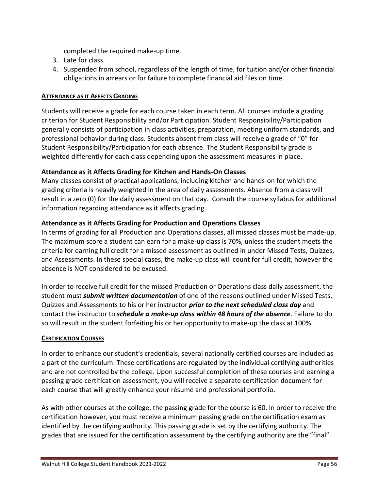completed the required make-up time.

- 3. Late for class.
- 4. Suspended from school, regardless of the length of time, for tuition and/or other financial obligations in arrears or for failure to complete financial aid files on time.

#### **ATTENDANCE AS IT AFFECTS GRADING**

Students will receive a grade for each course taken in each term. All courses include a grading criterion for Student Responsibility and/or Participation. Student Responsibility/Participation generally consists of participation in class activities, preparation, meeting uniform standards, and professional behavior during class. Students absent from class will receive a grade of "0" for Student Responsibility/Participation for each absence. The Student Responsibility grade is weighted differently for each class depending upon the assessment measures in place.

## **Attendance as it Affects Grading for Kitchen and Hands-On Classes**

Many classes consist of practical applications, including kitchen and hands-on for which the grading criteria is heavily weighted in the area of daily assessments. Absence from a class will result in a zero (0) for the daily assessment on that day. Consult the course syllabus for additional information regarding attendance as it affects grading.

## **Attendance as it Affects Grading for Production and Operations Classes**

In terms of grading for all Production and Operations classes, all missed classes must be made-up. The maximum score a student can earn for a make-up class is 70%, unless the student meets the criteria for earning full credit for a missed assessment as outlined in under Missed Tests, Quizzes, and Assessments. In these special cases, the make-up class will count for full credit, however the absence is NOT considered to be excused.

In order to receive full credit for the missed Production or Operations class daily assessment, the student must *submit written documentation* of one of the reasons outlined under Missed Tests, Quizzes and Assessments to his or her instructor *prior to the next scheduled class day* and contact the instructor to *schedule a make-up class within 48 hours of the absence*. Failure to do so will result in the student forfeiting his or her opportunity to make-up the class at 100%.

## **CERTIFICATION COURSES**

In order to enhance our student's credentials, several nationally certified courses are included as a part of the curriculum. These certifications are regulated by the individual certifying authorities and are not controlled by the college. Upon successful completion of these courses and earning a passing grade certification assessment, you will receive a separate certification document for each course that will greatly enhance your résumé and professional portfolio.

As with other courses at the college, the passing grade for the course is 60. In order to receive the certification however, you must receive a minimum passing grade on the certification exam as identified by the certifying authority. This passing grade is set by the certifying authority. The grades that are issued for the certification assessment by the certifying authority are the "final"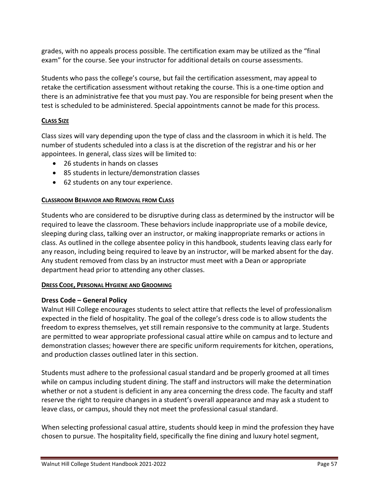grades, with no appeals process possible. The certification exam may be utilized as the "final exam" for the course. See your instructor for additional details on course assessments.

Students who pass the college's course, but fail the certification assessment, may appeal to retake the certification assessment without retaking the course. This is a one-time option and there is an administrative fee that you must pay. You are responsible for being present when the test is scheduled to be administered. Special appointments cannot be made for this process.

# **CLASS SIZE**

Class sizes will vary depending upon the type of class and the classroom in which it is held. The number of students scheduled into a class is at the discretion of the registrar and his or her appointees. In general, class sizes will be limited to:

- 26 students in hands on classes
- 85 students in lecture/demonstration classes
- 62 students on any tour experience.

#### **CLASSROOM BEHAVIOR AND REMOVAL FROM CLASS**

Students who are considered to be disruptive during class as determined by the instructor will be required to leave the classroom. These behaviors include inappropriate use of a mobile device, sleeping during class, talking over an instructor, or making inappropriate remarks or actions in class. As outlined in the college absentee policy in this handbook, students leaving class early for any reason, including being required to leave by an instructor, will be marked absent for the day. Any student removed from class by an instructor must meet with a Dean or appropriate department head prior to attending any other classes.

#### **DRESS CODE, PERSONAL HYGIENE AND GROOMING**

## **Dress Code – General Policy**

Walnut Hill College encourages students to select attire that reflects the level of professionalism expected in the field of hospitality. The goal of the college's dress code is to allow students the freedom to express themselves, yet still remain responsive to the community at large. Students are permitted to wear appropriate professional casual attire while on campus and to lecture and demonstration classes; however there are specific uniform requirements for kitchen, operations, and production classes outlined later in this section.

Students must adhere to the professional casual standard and be properly groomed at all times while on campus including student dining. The staff and instructors will make the determination whether or not a student is deficient in any area concerning the dress code. The faculty and staff reserve the right to require changes in a student's overall appearance and may ask a student to leave class, or campus, should they not meet the professional casual standard.

When selecting professional casual attire, students should keep in mind the profession they have chosen to pursue. The hospitality field, specifically the fine dining and luxury hotel segment,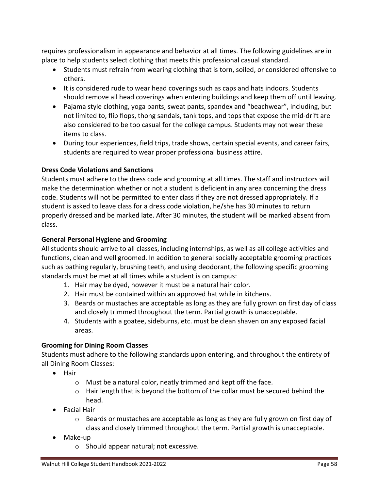requires professionalism in appearance and behavior at all times. The following guidelines are in place to help students select clothing that meets this professional casual standard.

- Students must refrain from wearing clothing that is torn, soiled, or considered offensive to others.
- It is considered rude to wear head coverings such as caps and hats indoors. Students should remove all head coverings when entering buildings and keep them off until leaving.
- Pajama style clothing, yoga pants, sweat pants, spandex and "beachwear", including, but not limited to, flip flops, thong sandals, tank tops, and tops that expose the mid-drift are also considered to be too casual for the college campus. Students may not wear these items to class.
- During tour experiences, field trips, trade shows, certain special events, and career fairs, students are required to wear proper professional business attire.

# **Dress Code Violations and Sanctions**

Students must adhere to the dress code and grooming at all times. The staff and instructors will make the determination whether or not a student is deficient in any area concerning the dress code. Students will not be permitted to enter class if they are not dressed appropriately. If a student is asked to leave class for a dress code violation, he/she has 30 minutes to return properly dressed and be marked late. After 30 minutes, the student will be marked absent from class.

# **General Personal Hygiene and Grooming**

All students should arrive to all classes, including internships, as well as all college activities and functions, clean and well groomed. In addition to general socially acceptable grooming practices such as bathing regularly, brushing teeth, and using deodorant, the following specific grooming standards must be met at all times while a student is on campus:

- 1. Hair may be dyed, however it must be a natural hair color.
- 2. Hair must be contained within an approved hat while in kitchens.
- 3. Beards or mustaches are acceptable as long as they are fully grown on first day of class and closely trimmed throughout the term. Partial growth is unacceptable.
- 4. Students with a goatee, sideburns, etc. must be clean shaven on any exposed facial areas.

## **Grooming for Dining Room Classes**

Students must adhere to the following standards upon entering, and throughout the entirety of all Dining Room Classes:

- Hair
	- o Must be a natural color, neatly trimmed and kept off the face.
	- o Hair length that is beyond the bottom of the collar must be secured behind the head.
- Facial Hair
	- $\circ$  Beards or mustaches are acceptable as long as they are fully grown on first day of class and closely trimmed throughout the term. Partial growth is unacceptable.
- Make-up
	- o Should appear natural; not excessive.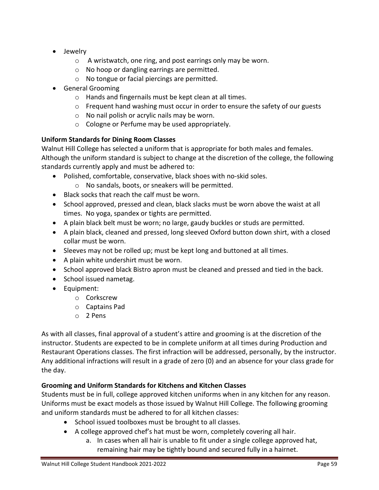- Jewelry
	- o A wristwatch, one ring, and post earrings only may be worn.
	- o No hoop or dangling earrings are permitted.
	- o No tongue or facial piercings are permitted.
- General Grooming
	- o Hands and fingernails must be kept clean at all times.
	- $\circ$  Frequent hand washing must occur in order to ensure the safety of our guests
	- o No nail polish or acrylic nails may be worn.
	- o Cologne or Perfume may be used appropriately.

# **Uniform Standards for Dining Room Classes**

Walnut Hill College has selected a uniform that is appropriate for both males and females. Although the uniform standard is subject to change at the discretion of the college, the following standards currently apply and must be adhered to:

- Polished, comfortable, conservative, black shoes with no-skid soles.
	- o No sandals, boots, or sneakers will be permitted.
- Black socks that reach the calf must be worn.
- School approved, pressed and clean, black slacks must be worn above the waist at all times. No yoga, spandex or tights are permitted.
- A plain black belt must be worn; no large, gaudy buckles or studs are permitted.
- A plain black, cleaned and pressed, long sleeved Oxford button down shirt, with a closed collar must be worn.
- Sleeves may not be rolled up; must be kept long and buttoned at all times.
- A plain white undershirt must be worn.
- School approved black Bistro apron must be cleaned and pressed and tied in the back.
- School issued nametag.
- Equipment:
	- o Corkscrew
	- o Captains Pad
	- o 2 Pens

As with all classes, final approval of a student's attire and grooming is at the discretion of the instructor. Students are expected to be in complete uniform at all times during Production and Restaurant Operations classes. The first infraction will be addressed, personally, by the instructor. Any additional infractions will result in a grade of zero (0) and an absence for your class grade for the day.

# **Grooming and Uniform Standards for Kitchens and Kitchen Classes**

Students must be in full, college approved kitchen uniforms when in any kitchen for any reason. Uniforms must be exact models as those issued by Walnut Hill College. The following grooming and uniform standards must be adhered to for all kitchen classes:

- School issued toolboxes must be brought to all classes.
- A college approved chef's hat must be worn, completely covering all hair.
	- a. In cases when all hair is unable to fit under a single college approved hat, remaining hair may be tightly bound and secured fully in a hairnet.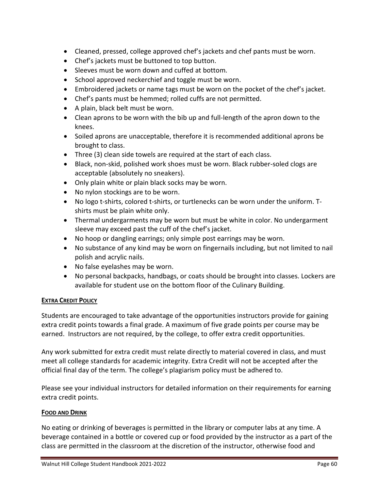- Cleaned, pressed, college approved chef's jackets and chef pants must be worn.
- Chef's jackets must be buttoned to top button.
- Sleeves must be worn down and cuffed at bottom.
- School approved neckerchief and toggle must be worn.
- Embroidered jackets or name tags must be worn on the pocket of the chef's jacket.
- Chef's pants must be hemmed; rolled cuffs are not permitted.
- A plain, black belt must be worn.
- Clean aprons to be worn with the bib up and full-length of the apron down to the knees.
- Soiled aprons are unacceptable, therefore it is recommended additional aprons be brought to class.
- Three (3) clean side towels are required at the start of each class.
- Black, non-skid, polished work shoes must be worn. Black rubber-soled clogs are acceptable (absolutely no sneakers).
- Only plain white or plain black socks may be worn.
- No nylon stockings are to be worn.
- No logo t-shirts, colored t-shirts, or turtlenecks can be worn under the uniform. Tshirts must be plain white only.
- Thermal undergarments may be worn but must be white in color. No undergarment sleeve may exceed past the cuff of the chef's jacket.
- No hoop or dangling earrings; only simple post earrings may be worn.
- No substance of any kind may be worn on fingernails including, but not limited to nail polish and acrylic nails.
- No false eyelashes may be worn.
- No personal backpacks, handbags, or coats should be brought into classes. Lockers are available for student use on the bottom floor of the Culinary Building.

## **EXTRA CREDIT POLICY**

Students are encouraged to take advantage of the opportunities instructors provide for gaining extra credit points towards a final grade. A maximum of five grade points per course may be earned. Instructors are not required, by the college, to offer extra credit opportunities.

Any work submitted for extra credit must relate directly to material covered in class, and must meet all college standards for academic integrity. Extra Credit will not be accepted after the official final day of the term. The college's plagiarism policy must be adhered to.

Please see your individual instructors for detailed information on their requirements for earning extra credit points.

## **FOOD AND DRINK**

No eating or drinking of beverages is permitted in the library or computer labs at any time. A beverage contained in a bottle or covered cup or food provided by the instructor as a part of the class are permitted in the classroom at the discretion of the instructor, otherwise food and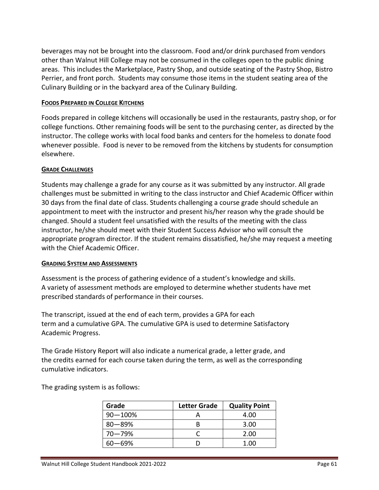beverages may not be brought into the classroom. Food and/or drink purchased from vendors other than Walnut Hill College may not be consumed in the colleges open to the public dining areas. This includes the Marketplace, Pastry Shop, and outside seating of the Pastry Shop, Bistro Perrier, and front porch. Students may consume those items in the student seating area of the Culinary Building or in the backyard area of the Culinary Building.

#### **FOODS PREPARED IN COLLEGE KITCHENS**

Foods prepared in college kitchens will occasionally be used in the restaurants, pastry shop, or for college functions. Other remaining foods will be sent to the purchasing center, as directed by the instructor. The college works with local food banks and centers for the homeless to donate food whenever possible. Food is never to be removed from the kitchens by students for consumption elsewhere.

#### **GRADE CHALLENGES**

Students may challenge a grade for any course as it was submitted by any instructor. All grade challenges must be submitted in writing to the class instructor and Chief Academic Officer within 30 days from the final date of class. Students challenging a course grade should schedule an appointment to meet with the instructor and present his/her reason why the grade should be changed. Should a student feel unsatisfied with the results of the meeting with the class instructor, he/she should meet with their Student Success Advisor who will consult the appropriate program director. If the student remains dissatisfied, he/she may request a meeting with the Chief Academic Officer.

#### **GRADING SYSTEM AND ASSESSMENTS**

Assessment is the process of gathering evidence of a student's knowledge and skills. A variety of assessment methods are employed to determine whether students have met prescribed standards of performance in their courses.

The transcript, issued at the end of each term, provides a GPA for each term and a cumulative GPA. The cumulative GPA is used to determine Satisfactory Academic Progress.

The Grade History Report will also indicate a numerical grade, a letter grade, and the credits earned for each course taken during the term, as well as the corresponding cumulative indicators.

The grading system is as follows:

| Grade        | <b>Letter Grade</b> | <b>Quality Point</b> |
|--------------|---------------------|----------------------|
| $90 - 100\%$ |                     | 4.00                 |
| $80 - 89%$   |                     | 3.00                 |
| $70 - 79%$   |                     | 2.00                 |
| 60—69%       |                     | 1.00                 |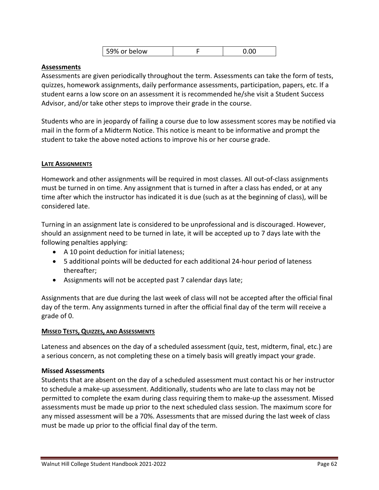| 59% or below | 0.00 |
|--------------|------|
|              |      |

#### **Assessments**

Assessments are given periodically throughout the term. Assessments can take the form of tests, quizzes, homework assignments, daily performance assessments, participation, papers, etc. If a student earns a low score on an assessment it is recommended he/she visit a Student Success Advisor, and/or take other steps to improve their grade in the course.

Students who are in jeopardy of failing a course due to low assessment scores may be notified via mail in the form of a Midterm Notice. This notice is meant to be informative and prompt the student to take the above noted actions to improve his or her course grade.

#### **LATE ASSIGNMENTS**

Homework and other assignments will be required in most classes. All out-of-class assignments must be turned in on time. Any assignment that is turned in after a class has ended, or at any time after which the instructor has indicated it is due (such as at the beginning of class), will be considered late.

Turning in an assignment late is considered to be unprofessional and is discouraged. However, should an assignment need to be turned in late, it will be accepted up to 7 days late with the following penalties applying:

- A 10 point deduction for initial lateness;
- 5 additional points will be deducted for each additional 24-hour period of lateness thereafter;
- Assignments will not be accepted past 7 calendar days late;

Assignments that are due during the last week of class will not be accepted after the official final day of the term. Any assignments turned in after the official final day of the term will receive a grade of 0.

#### **MISSED TESTS, QUIZZES, AND ASSESSMENTS**

Lateness and absences on the day of a scheduled assessment (quiz, test, midterm, final, etc.) are a serious concern, as not completing these on a timely basis will greatly impact your grade.

#### **Missed Assessments**

Students that are absent on the day of a scheduled assessment must contact his or her instructor to schedule a make-up assessment. Additionally, students who are late to class may not be permitted to complete the exam during class requiring them to make-up the assessment. Missed assessments must be made up prior to the next scheduled class session. The maximum score for any missed assessment will be a 70%. Assessments that are missed during the last week of class must be made up prior to the official final day of the term.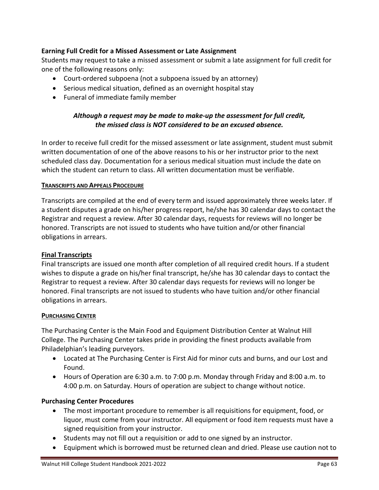## **Earning Full Credit for a Missed Assessment or Late Assignment**

Students may request to take a missed assessment or submit a late assignment for full credit for one of the following reasons only:

- Court-ordered subpoena (not a subpoena issued by an attorney)
- Serious medical situation, defined as an overnight hospital stay
- Funeral of immediate family member

## *Although a request may be made to make-up the assessment for full credit, the missed class is NOT considered to be an excused absence.*

In order to receive full credit for the missed assessment or late assignment, student must submit written documentation of one of the above reasons to his or her instructor prior to the next scheduled class day. Documentation for a serious medical situation must include the date on which the student can return to class. All written documentation must be verifiable.

#### **TRANSCRIPTS AND APPEALS PROCEDURE**

Transcripts are compiled at the end of every term and issued approximately three weeks later. If a student disputes a grade on his/her progress report, he/she has 30 calendar days to contact the Registrar and request a review. After 30 calendar days, requests for reviews will no longer be honored. Transcripts are not issued to students who have tuition and/or other financial obligations in arrears.

#### **Final Transcripts**

Final transcripts are issued one month after completion of all required credit hours. If a student wishes to dispute a grade on his/her final transcript, he/she has 30 calendar days to contact the Registrar to request a review. After 30 calendar days requests for reviews will no longer be honored. Final transcripts are not issued to students who have tuition and/or other financial obligations in arrears.

#### **PURCHASING CENTER**

The Purchasing Center is the Main Food and Equipment Distribution Center at Walnut Hill College. The Purchasing Center takes pride in providing the finest products available from Philadelphian's leading purveyors.

- Located at The Purchasing Center is First Aid for minor cuts and burns, and our Lost and Found.
- Hours of Operation are 6:30 a.m. to 7:00 p.m. Monday through Friday and 8:00 a.m. to 4:00 p.m. on Saturday. Hours of operation are subject to change without notice.

#### **Purchasing Center Procedures**

- The most important procedure to remember is all requisitions for equipment, food, or liquor, must come from your instructor. All equipment or food item requests must have a signed requisition from your instructor.
- Students may not fill out a requisition or add to one signed by an instructor.
- Equipment which is borrowed must be returned clean and dried. Please use caution not to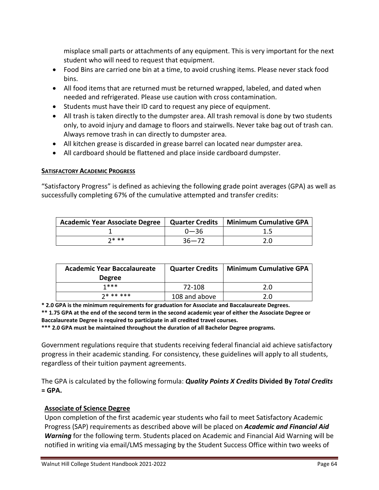misplace small parts or attachments of any equipment. This is very important for the next student who will need to request that equipment.

- Food Bins are carried one bin at a time, to avoid crushing items. Please never stack food bins.
- All food items that are returned must be returned wrapped, labeled, and dated when needed and refrigerated. Please use caution with cross contamination.
- Students must have their ID card to request any piece of equipment.
- All trash is taken directly to the dumpster area. All trash removal is done by two students only, to avoid injury and damage to floors and stairwells. Never take bag out of trash can. Always remove trash in can directly to dumpster area.
- All kitchen grease is discarded in grease barrel can located near dumpster area.
- All cardboard should be flattened and place inside cardboard dumpster.

#### **SATISFACTORY ACADEMIC PROGRESS**

"Satisfactory Progress" is defined as achieving the following grade point averages (GPA) as well as successfully completing 67% of the cumulative attempted and transfer credits:

| Academic Year Associate Degree | <b>Quarter Credits</b> | Minimum Cumulative GPA |
|--------------------------------|------------------------|------------------------|
|                                | $0 - 36$               |                        |
| $7$ * **                       | $36 - 72$              | 2.0                    |

| <b>Academic Year Baccalaureate</b> | <b>Quarter Credits</b> | Minimum Cumulative GPA |
|------------------------------------|------------------------|------------------------|
| <b>Degree</b>                      |                        |                        |
| 1***                               | 72-108                 | 2.0                    |
| $7*******$                         | 108 and above          | 2.0                    |

**\* 2.0 GPA is the minimum requirements for graduation for Associate and Baccalaureate Degrees. \*\* 1.75 GPA at the end of the second term in the second academic year of either the Associate Degree or Baccalaureate Degree is required to participate in all credited travel courses.**

**\*\*\* 2.0 GPA must be maintained throughout the duration of all Bachelor Degree programs.**

Government regulations require that students receiving federal financial aid achieve satisfactory progress in their academic standing. For consistency, these guidelines will apply to all students, regardless of their tuition payment agreements.

The GPA is calculated by the following formula: *Quality Points X Credits* **Divided By** *Total Credits*  **= GPA.** 

## **Associate of Science Degree**

Upon completion of the first academic year students who fail to meet Satisfactory Academic Progress (SAP) requirements as described above will be placed on *Academic and Financial Aid Warning* for the following term. Students placed on Academic and Financial Aid Warning will be notified in writing via email/LMS messaging by the Student Success Office within two weeks of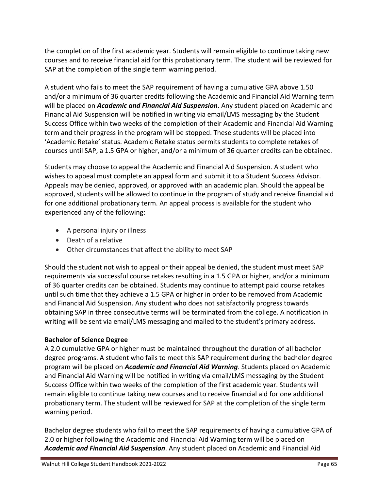the completion of the first academic year. Students will remain eligible to continue taking new courses and to receive financial aid for this probationary term. The student will be reviewed for SAP at the completion of the single term warning period.

A student who fails to meet the SAP requirement of having a cumulative GPA above 1.50 and/or a minimum of 36 quarter credits following the Academic and Financial Aid Warning term will be placed on *Academic and Financial Aid Suspension*. Any student placed on Academic and Financial Aid Suspension will be notified in writing via email/LMS messaging by the Student Success Office within two weeks of the completion of their Academic and Financial Aid Warning term and their progress in the program will be stopped. These students will be placed into 'Academic Retake' status. Academic Retake status permits students to complete retakes of courses until SAP, a 1.5 GPA or higher, and/or a minimum of 36 quarter credits can be obtained.

Students may choose to appeal the Academic and Financial Aid Suspension. A student who wishes to appeal must complete an appeal form and submit it to a Student Success Advisor. Appeals may be denied, approved, or approved with an academic plan. Should the appeal be approved, students will be allowed to continue in the program of study and receive financial aid for one additional probationary term. An appeal process is available for the student who experienced any of the following:

- A personal injury or illness
- Death of a relative
- Other circumstances that affect the ability to meet SAP

Should the student not wish to appeal or their appeal be denied, the student must meet SAP requirements via successful course retakes resulting in a 1.5 GPA or higher, and/or a minimum of 36 quarter credits can be obtained. Students may continue to attempt paid course retakes until such time that they achieve a 1.5 GPA or higher in order to be removed from Academic and Financial Aid Suspension. Any student who does not satisfactorily progress towards obtaining SAP in three consecutive terms will be terminated from the college. A notification in writing will be sent via email/LMS messaging and mailed to the student's primary address.

## **Bachelor of Science Degree**

A 2.0 cumulative GPA or higher must be maintained throughout the duration of all bachelor degree programs. A student who fails to meet this SAP requirement during the bachelor degree program will be placed on *Academic and Financial Aid Warning*. Students placed on Academic and Financial Aid Warning will be notified in writing via email/LMS messaging by the Student Success Office within two weeks of the completion of the first academic year. Students will remain eligible to continue taking new courses and to receive financial aid for one additional probationary term. The student will be reviewed for SAP at the completion of the single term warning period.

Bachelor degree students who fail to meet the SAP requirements of having a cumulative GPA of 2.0 or higher following the Academic and Financial Aid Warning term will be placed on *Academic and Financial Aid Suspension*. Any student placed on Academic and Financial Aid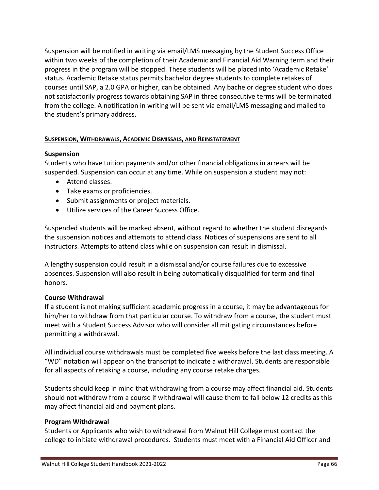Suspension will be notified in writing via email/LMS messaging by the Student Success Office within two weeks of the completion of their Academic and Financial Aid Warning term and their progress in the program will be stopped. These students will be placed into 'Academic Retake' status. Academic Retake status permits bachelor degree students to complete retakes of courses until SAP, a 2.0 GPA or higher, can be obtained. Any bachelor degree student who does not satisfactorily progress towards obtaining SAP in three consecutive terms will be terminated from the college. A notification in writing will be sent via email/LMS messaging and mailed to the student's primary address.

#### **SUSPENSION, WITHDRAWALS, ACADEMIC DISMISSALS, AND REINSTATEMENT**

#### **Suspension**

Students who have tuition payments and/or other financial obligations in arrears will be suspended. Suspension can occur at any time. While on suspension a student may not:

- Attend classes.
- Take exams or proficiencies.
- Submit assignments or project materials.
- Utilize services of the Career Success Office.

Suspended students will be marked absent, without regard to whether the student disregards the suspension notices and attempts to attend class. Notices of suspensions are sent to all instructors. Attempts to attend class while on suspension can result in dismissal.

A lengthy suspension could result in a dismissal and/or course failures due to excessive absences. Suspension will also result in being automatically disqualified for term and final honors.

#### **Course Withdrawal**

If a student is not making sufficient academic progress in a course, it may be advantageous for him/her to withdraw from that particular course. To withdraw from a course, the student must meet with a Student Success Advisor who will consider all mitigating circumstances before permitting a withdrawal.

All individual course withdrawals must be completed five weeks before the last class meeting. A "WD" notation will appear on the transcript to indicate a withdrawal. Students are responsible for all aspects of retaking a course, including any course retake charges.

Students should keep in mind that withdrawing from a course may affect financial aid. Students should not withdraw from a course if withdrawal will cause them to fall below 12 credits as this may affect financial aid and payment plans.

#### **Program Withdrawal**

Students or Applicants who wish to withdrawal from Walnut Hill College must contact the college to initiate withdrawal procedures. Students must meet with a Financial Aid Officer and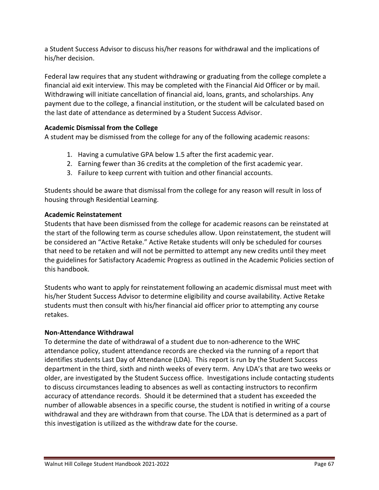a Student Success Advisor to discuss his/her reasons for withdrawal and the implications of his/her decision.

Federal law requires that any student withdrawing or graduating from the college complete a financial aid exit interview. This may be completed with the Financial Aid Officer or by mail. Withdrawing will initiate cancellation of financial aid, loans, grants, and scholarships. Any payment due to the college, a financial institution, or the student will be calculated based on the last date of attendance as determined by a Student Success Advisor.

# **Academic Dismissal from the College**

A student may be dismissed from the college for any of the following academic reasons:

- 1. Having a cumulative GPA below 1.5 after the first academic year.
- 2. Earning fewer than 36 credits at the completion of the first academic year.
- 3. Failure to keep current with tuition and other financial accounts.

Students should be aware that dismissal from the college for any reason will result in loss of housing through Residential Learning.

## **Academic Reinstatement**

Students that have been dismissed from the college for academic reasons can be reinstated at the start of the following term as course schedules allow. Upon reinstatement, the student will be considered an "Active Retake." Active Retake students will only be scheduled for courses that need to be retaken and will not be permitted to attempt any new credits until they meet the guidelines for Satisfactory Academic Progress as outlined in the Academic Policies section of this handbook.

Students who want to apply for reinstatement following an academic dismissal must meet with his/her Student Success Advisor to determine eligibility and course availability. Active Retake students must then consult with his/her financial aid officer prior to attempting any course retakes.

## **Non-Attendance Withdrawal**

To determine the date of withdrawal of a student due to non-adherence to the WHC attendance policy, student attendance records are checked via the running of a report that identifies students Last Day of Attendance (LDA). This report is run by the Student Success department in the third, sixth and ninth weeks of every term. Any LDA's that are two weeks or older, are investigated by the Student Success office. Investigations include contacting students to discuss circumstances leading to absences as well as contacting instructors to reconfirm accuracy of attendance records. Should it be determined that a student has exceeded the number of allowable absences in a specific course, the student is notified in writing of a course withdrawal and they are withdrawn from that course. The LDA that is determined as a part of this investigation is utilized as the withdraw date for the course.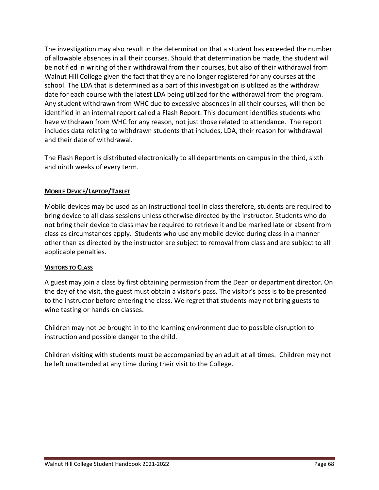The investigation may also result in the determination that a student has exceeded the number of allowable absences in all their courses. Should that determination be made, the student will be notified in writing of their withdrawal from their courses, but also of their withdrawal from Walnut Hill College given the fact that they are no longer registered for any courses at the school. The LDA that is determined as a part of this investigation is utilized as the withdraw date for each course with the latest LDA being utilized for the withdrawal from the program. Any student withdrawn from WHC due to excessive absences in all their courses, will then be identified in an internal report called a Flash Report. This document identifies students who have withdrawn from WHC for any reason, not just those related to attendance. The report includes data relating to withdrawn students that includes, LDA, their reason for withdrawal and their date of withdrawal.

The Flash Report is distributed electronically to all departments on campus in the third, sixth and ninth weeks of every term.

## **MOBILE DEVICE/LAPTOP/TABLET**

Mobile devices may be used as an instructional tool in class therefore, students are required to bring device to all class sessions unless otherwise directed by the instructor. Students who do not bring their device to class may be required to retrieve it and be marked late or absent from class as circumstances apply. Students who use any mobile device during class in a manner other than as directed by the instructor are subject to removal from class and are subject to all applicable penalties.

#### **VISITORS TO CLASS**

A guest may join a class by first obtaining permission from the Dean or department director. On the day of the visit, the guest must obtain a visitor's pass. The visitor's pass is to be presented to the instructor before entering the class. We regret that students may not bring guests to wine tasting or hands-on classes.

Children may not be brought in to the learning environment due to possible disruption to instruction and possible danger to the child.

Children visiting with students must be accompanied by an adult at all times. Children may not be left unattended at any time during their visit to the College.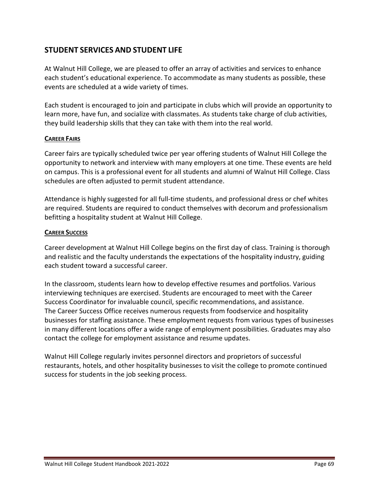# **STUDENT SERVICES AND STUDENT LIFE**

At Walnut Hill College, we are pleased to offer an array of activities and services to enhance each student's educational experience. To accommodate as many students as possible, these events are scheduled at a wide variety of times.

Each student is encouraged to join and participate in clubs which will provide an opportunity to learn more, have fun, and socialize with classmates. As students take charge of club activities, they build leadership skills that they can take with them into the real world.

#### **CAREER FAIRS**

Career fairs are typically scheduled twice per year offering students of Walnut Hill College the opportunity to network and interview with many employers at one time. These events are held on campus. This is a professional event for all students and alumni of Walnut Hill College. Class schedules are often adjusted to permit student attendance.

Attendance is highly suggested for all full-time students, and professional dress or chef whites are required. Students are required to conduct themselves with decorum and professionalism befitting a hospitality student at Walnut Hill College.

#### **CAREER SUCCESS**

Career development at Walnut Hill College begins on the first day of class. Training is thorough and realistic and the faculty understands the expectations of the hospitality industry, guiding each student toward a successful career.

In the classroom, students learn how to develop effective resumes and portfolios. Various interviewing techniques are exercised. Students are encouraged to meet with the Career Success Coordinator for invaluable council, specific recommendations, and assistance. The Career Success Office receives numerous requests from foodservice and hospitality businesses for staffing assistance. These employment requests from various types of businesses in many different locations offer a wide range of employment possibilities. Graduates may also contact the college for employment assistance and resume updates.

Walnut Hill College regularly invites personnel directors and proprietors of successful restaurants, hotels, and other hospitality businesses to visit the college to promote continued success for students in the job seeking process.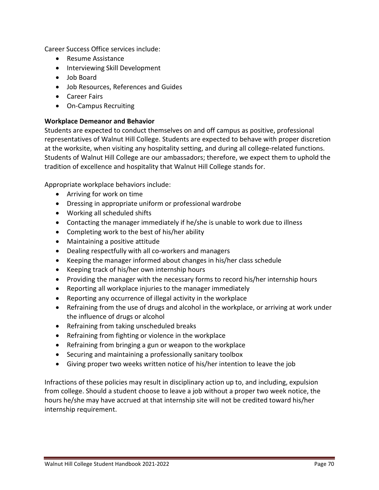Career Success Office services include:

- Resume Assistance
- Interviewing Skill Development
- Job Board
- Job Resources, References and Guides
- Career Fairs
- On-Campus Recruiting

#### **Workplace Demeanor and Behavior**

Students are expected to conduct themselves on and off campus as positive, professional representatives of Walnut Hill College. Students are expected to behave with proper discretion at the worksite, when visiting any hospitality setting, and during all college-related functions. Students of Walnut Hill College are our ambassadors; therefore, we expect them to uphold the tradition of excellence and hospitality that Walnut Hill College stands for.

Appropriate workplace behaviors include:

- Arriving for work on time
- Dressing in appropriate uniform or professional wardrobe
- Working all scheduled shifts
- Contacting the manager immediately if he/she is unable to work due to illness
- Completing work to the best of his/her ability
- Maintaining a positive attitude
- Dealing respectfully with all co-workers and managers
- Keeping the manager informed about changes in his/her class schedule
- Keeping track of his/her own internship hours
- Providing the manager with the necessary forms to record his/her internship hours
- Reporting all workplace injuries to the manager immediately
- Reporting any occurrence of illegal activity in the workplace
- Refraining from the use of drugs and alcohol in the workplace, or arriving at work under the influence of drugs or alcohol
- Refraining from taking unscheduled breaks
- Refraining from fighting or violence in the workplace
- Refraining from bringing a gun or weapon to the workplace
- Securing and maintaining a professionally sanitary toolbox
- Giving proper two weeks written notice of his/her intention to leave the job

Infractions of these policies may result in disciplinary action up to, and including, expulsion from college. Should a student choose to leave a job without a proper two week notice, the hours he/she may have accrued at that internship site will not be credited toward his/her internship requirement.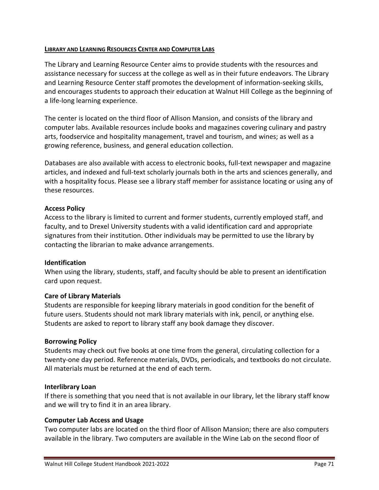#### **LIBRARY AND LEARNING RESOURCES CENTER AND COMPUTER LABS**

The Library and Learning Resource Center aims to provide students with the resources and assistance necessary for success at the college as well as in their future endeavors. The Library and Learning Resource Center staff promotes the development of information-seeking skills, and encourages students to approach their education at Walnut Hill College as the beginning of a life-long learning experience.

The center is located on the third floor of Allison Mansion, and consists of the library and computer labs. Available resources include books and magazines covering culinary and pastry arts, foodservice and hospitality management, travel and tourism, and wines; as well as a growing reference, business, and general education collection.

Databases are also available with access to electronic books, full-text newspaper and magazine articles, and indexed and full-text scholarly journals both in the arts and sciences generally, and with a hospitality focus. Please see a library staff member for assistance locating or using any of these resources.

#### **Access Policy**

Access to the library is limited to current and former students, currently employed staff, and faculty, and to Drexel University students with a valid identification card and appropriate signatures from their institution. Other individuals may be permitted to use the library by contacting the librarian to make advance arrangements.

#### **Identification**

When using the library, students, staff, and faculty should be able to present an identification card upon request.

#### **Care of Library Materials**

Students are responsible for keeping library materials in good condition for the benefit of future users. Students should not mark library materials with ink, pencil, or anything else. Students are asked to report to library staff any book damage they discover.

#### **Borrowing Policy**

Students may check out five books at one time from the general, circulating collection for a twenty-one day period. Reference materials, DVDs, periodicals, and textbooks do not circulate. All materials must be returned at the end of each term.

#### **Interlibrary Loan**

If there is something that you need that is not available in our library, let the library staff know and we will try to find it in an area library.

#### **Computer Lab Access and Usage**

Two computer labs are located on the third floor of Allison Mansion; there are also computers available in the library. Two computers are available in the Wine Lab on the second floor of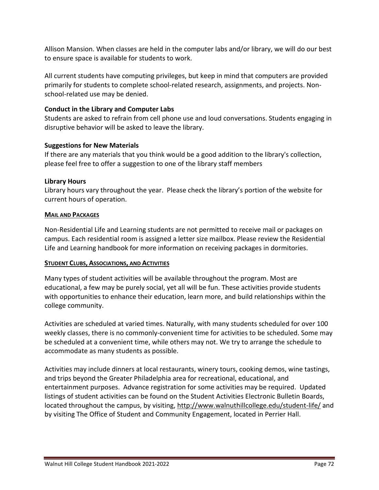Allison Mansion. When classes are held in the computer labs and/or library, we will do our best to ensure space is available for students to work.

All current students have computing privileges, but keep in mind that computers are provided primarily for students to complete school-related research, assignments, and projects. Nonschool-related use may be denied.

## **Conduct in the Library and Computer Labs**

Students are asked to refrain from cell phone use and loud conversations. Students engaging in disruptive behavior will be asked to leave the library.

## **Suggestions for New Materials**

If there are any materials that you think would be a good addition to the library's collection, please feel free to offer a suggestion to one of the library staff members

## **Library Hours**

Library hours vary throughout the year. Please check the library's portion of the website for current hours of operation.

## **MAIL AND PACKAGES**

Non-Residential Life and Learning students are not permitted to receive mail or packages on campus. Each residential room is assigned a letter size mailbox. Please review the Residential Life and Learning handbook for more information on receiving packages in dormitories.

## **STUDENT CLUBS, ASSOCIATIONS, AND ACTIVITIES**

Many types of student activities will be available throughout the program. Most are educational, a few may be purely social, yet all will be fun. These activities provide students with opportunities to enhance their education, learn more, and build relationships within the college community.

Activities are scheduled at varied times. Naturally, with many students scheduled for over 100 weekly classes, there is no commonly-convenient time for activities to be scheduled. Some may be scheduled at a convenient time, while others may not. We try to arrange the schedule to accommodate as many students as possible.

Activities may include dinners at local restaurants, winery tours, cooking demos, wine tastings, and trips beyond the Greater Philadelphia area for recreational, educational, and entertainment purposes. Advance registration for some activities may be required. Updated listings of student activities can be found on the Student Activities Electronic Bulletin Boards, located throughout the campus, by visiting, http://www.walnuthillcollege.edu/student-life/ and by visiting The Office of Student and Community Engagement, located in Perrier Hall.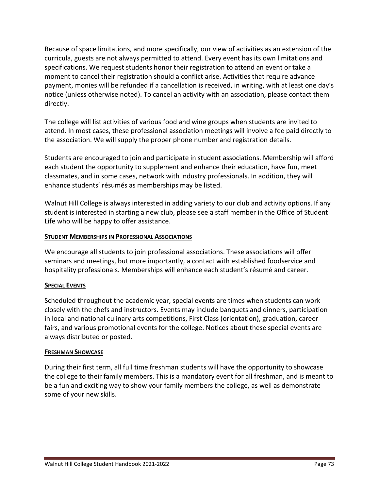Because of space limitations, and more specifically, our view of activities as an extension of the curricula, guests are not always permitted to attend. Every event has its own limitations and specifications. We request students honor their registration to attend an event or take a moment to cancel their registration should a conflict arise. Activities that require advance payment, monies will be refunded if a cancellation is received, in writing, with at least one day's notice (unless otherwise noted). To cancel an activity with an association, please contact them directly.

The college will list activities of various food and wine groups when students are invited to attend. In most cases, these professional association meetings will involve a fee paid directly to the association. We will supply the proper phone number and registration details.

Students are encouraged to join and participate in student associations. Membership will afford each student the opportunity to supplement and enhance their education, have fun, meet classmates, and in some cases, network with industry professionals. In addition, they will enhance students' résumés as memberships may be listed.

Walnut Hill College is always interested in adding variety to our club and activity options. If any student is interested in starting a new club, please see a staff member in the Office of Student Life who will be happy to offer assistance.

## **STUDENT MEMBERSHIPS IN PROFESSIONAL ASSOCIATIONS**

We encourage all students to join professional associations. These associations will offer seminars and meetings, but more importantly, a contact with established foodservice and hospitality professionals. Memberships will enhance each student's résumé and career.

## **SPECIAL EVENTS**

Scheduled throughout the academic year, special events are times when students can work closely with the chefs and instructors. Events may include banquets and dinners, participation in local and national culinary arts competitions, First Class (orientation), graduation, career fairs, and various promotional events for the college. Notices about these special events are always distributed or posted.

## **FRESHMAN SHOWCASE**

During their first term, all full time freshman students will have the opportunity to showcase the college to their family members. This is a mandatory event for all freshman, and is meant to be a fun and exciting way to show your family members the college, as well as demonstrate some of your new skills.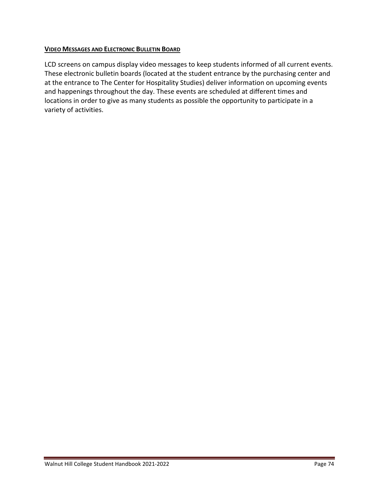#### **VIDEO MESSAGES AND ELECTRONIC BULLETIN BOARD**

LCD screens on campus display video messages to keep students informed of all current events. These electronic bulletin boards (located at the student entrance by the purchasing center and at the entrance to The Center for Hospitality Studies) deliver information on upcoming events and happenings throughout the day. These events are scheduled at different times and locations in order to give as many students as possible the opportunity to participate in a variety of activities.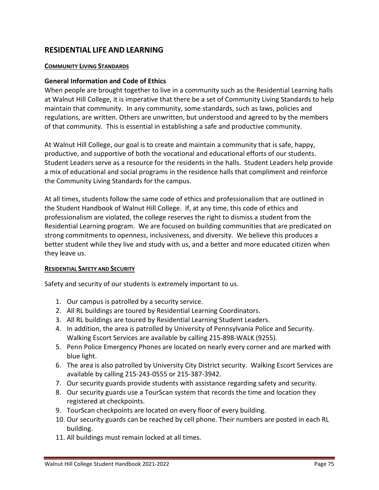# **RESIDENTIAL LIFE AND LEARNING**

#### **COMMUNITY LIVING STANDARDS**

#### **General Information and Code of Ethics**

When people are brought together to live in a community such as the Residential Learning halls at Walnut Hill College, it is imperative that there be a set of Community Living Standards to help maintain that community. In any community, some standards, such as laws, policies and regulations, are written. Others are unwritten, but understood and agreed to by the members of that community. This is essential in establishing a safe and productive community.

At Walnut Hill College, our goal is to create and maintain a community that is safe, happy, productive, and supportive of both the vocational and educational efforts of our students. Student Leaders serve as a resource for the residents in the halls. Student Leaders help provide a mix of educational and social programs in the residence halls that compliment and reinforce the Community Living Standards for the campus.

At all times, students follow the same code of ethics and professionalism that are outlined in the Student Handbook of Walnut Hill College. If, at any time, this code of ethics and professionalism are violated, the college reserves the right to dismiss a student from the Residential Learning program. We are focused on building communities that are predicated on strong commitments to openness, inclusiveness, and diversity. We believe this produces a better student while they live and study with us, and a better and more educated citizen when they leave us.

#### **RESIDENTIAL SAFETY AND SECURITY**

Safety and security of our students is extremely important to us.

- 1. Our campus is patrolled by a security service.
- 2. All RL buildings are toured by Residential Learning Coordinators.
- 3. All RL buildings are toured by Residential Learning Student Leaders.
- 4. In addition, the area is patrolled by University of Pennsylvania Police and Security. Walking Escort Services are available by calling 215-898-WALK (9255).
- 5. Penn Police Emergency Phones are located on nearly every corner and are marked with blue light.
- 6. The area is also patrolled by University City District security. Walking Escort Services are available by calling 215-243-0555 or 215-387-3942.
- 7. Our security guards provide students with assistance regarding safety and security.
- 8. Our security guards use a TourScan system that records the time and location they registered at checkpoints.
- 9. TourScan checkpoints are located on every floor of every building.
- 10. Our security guards can be reached by cell phone. Their numbers are posted in each RL building.
- 11. All buildings must remain locked at all times.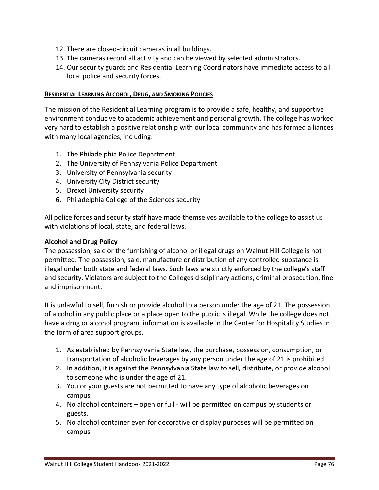- 12. There are closed-circuit cameras in all buildings.
- 13. The cameras record all activity and can be viewed by selected administrators.
- 14. Our security guards and Residential Learning Coordinators have immediate access to all local police and security forces.

#### **RESIDENTIAL LEARNING ALCOHOL, DRUG, AND SMOKING POLICIES**

The mission of the Residential Learning program is to provide a safe, healthy, and supportive environment conducive to academic achievement and personal growth. The college has worked very hard to establish a positive relationship with our local community and has formed alliances with many local agencies, including:

- 1. The Philadelphia Police Department
- 2. The University of Pennsylvania Police Department
- 3. University of Pennsylvania security
- 4. University City District security
- 5. Drexel University security
- 6. Philadelphia College of the Sciences security

All police forces and security staff have made themselves available to the college to assist us with violations of local, state, and federal laws.

#### **Alcohol and Drug Policy**

The possession, sale or the furnishing of alcohol or illegal drugs on Walnut Hill College is not permitted. The possession, sale, manufacture or distribution of any controlled substance is illegal under both state and federal laws. Such laws are strictly enforced by the college's staff and security. Violators are subject to the Colleges disciplinary actions, criminal prosecution, fine and imprisonment.

It is unlawful to sell, furnish or provide alcohol to a person under the age of 21. The possession of alcohol in any public place or a place open to the public is illegal. While the college does not have a drug or alcohol program, information is available in the Center for Hospitality Studies in the form of area support groups.

- 1. As established by Pennsylvania State law, the purchase, possession, consumption, or transportation of alcoholic beverages by any person under the age of 21 is prohibited.
- 2. In addition, it is against the Pennsylvania State law to sell, distribute, or provide alcohol to someone who is under the age of 21.
- 3. You or your guests are not permitted to have any type of alcoholic beverages on campus.
- 4. No alcohol containers open or full will be permitted on campus by students or guests.
- 5. No alcohol container even for decorative or display purposes will be permitted on campus.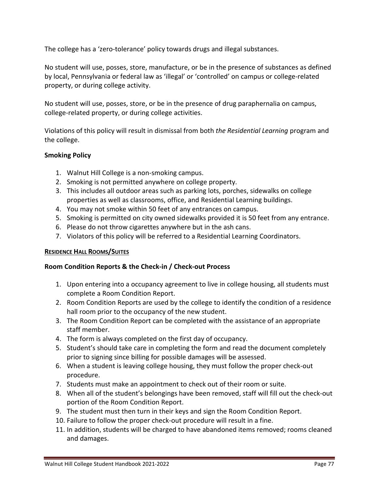The college has a 'zero-tolerance' policy towards drugs and illegal substances.

No student will use, posses, store, manufacture, or be in the presence of substances as defined by local, Pennsylvania or federal law as 'illegal' or 'controlled' on campus or college-related property, or during college activity.

No student will use, posses, store, or be in the presence of drug paraphernalia on campus, college-related property, or during college activities.

Violations of this policy will result in dismissal from both *the Residential Learning* program and the college.

## **Smoking Policy**

- 1. Walnut Hill College is a non-smoking campus.
- 2. Smoking is not permitted anywhere on college property.
- 3. This includes all outdoor areas such as parking lots, porches, sidewalks on college properties as well as classrooms, office, and Residential Learning buildings.
- 4. You may not smoke within 50 feet of any entrances on campus.
- 5. Smoking is permitted on city owned sidewalks provided it is 50 feet from any entrance.
- 6. Please do not throw cigarettes anywhere but in the ash cans.
- 7. Violators of this policy will be referred to a Residential Learning Coordinators.

## **RESIDENCE HALL ROOMS/SUITES**

## **Room Condition Reports & the Check-in / Check-out Process**

- 1. Upon entering into a occupancy agreement to live in college housing, all students must complete a Room Condition Report.
- 2. Room Condition Reports are used by the college to identify the condition of a residence hall room prior to the occupancy of the new student.
- 3. The Room Condition Report can be completed with the assistance of an appropriate staff member.
- 4. The form is always completed on the first day of occupancy.
- 5. Student's should take care in completing the form and read the document completely prior to signing since billing for possible damages will be assessed.
- 6. When a student is leaving college housing, they must follow the proper check-out procedure.
- 7. Students must make an appointment to check out of their room or suite.
- 8. When all of the student's belongings have been removed, staff will fill out the check-out portion of the Room Condition Report.
- 9. The student must then turn in their keys and sign the Room Condition Report.
- 10. Failure to follow the proper check-out procedure will result in a fine.
- 11. In addition, students will be charged to have abandoned items removed; rooms cleaned and damages.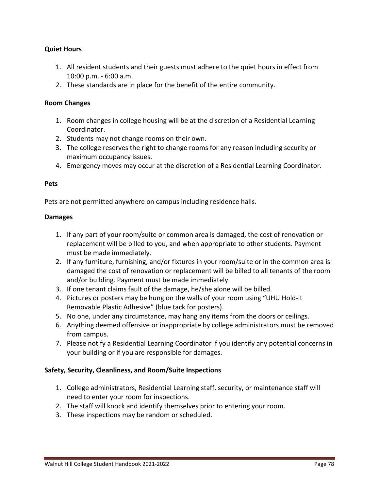#### **Quiet Hours**

- 1. All resident students and their guests must adhere to the quiet hours in effect from 10:00 p.m. - 6:00 a.m.
- 2. These standards are in place for the benefit of the entire community.

#### **Room Changes**

- 1. Room changes in college housing will be at the discretion of a Residential Learning Coordinator.
- 2. Students may not change rooms on their own.
- 3. The college reserves the right to change rooms for any reason including security or maximum occupancy issues.
- 4. Emergency moves may occur at the discretion of a Residential Learning Coordinator.

#### **Pets**

Pets are not permitted anywhere on campus including residence halls.

#### **Damages**

- 1. If any part of your room/suite or common area is damaged, the cost of renovation or replacement will be billed to you, and when appropriate to other students. Payment must be made immediately.
- 2. If any furniture, furnishing, and/or fixtures in your room/suite or in the common area is damaged the cost of renovation or replacement will be billed to all tenants of the room and/or building. Payment must be made immediately.
- 3. If one tenant claims fault of the damage, he/she alone will be billed.
- 4. Pictures or posters may be hung on the walls of your room using "UHU Hold-it Removable Plastic Adhesive" (blue tack for posters).
- 5. No one, under any circumstance, may hang any items from the doors or ceilings.
- 6. Anything deemed offensive or inappropriate by college administrators must be removed from campus.
- 7. Please notify a Residential Learning Coordinator if you identify any potential concerns in your building or if you are responsible for damages.

#### **Safety, Security, Cleanliness, and Room/Suite Inspections**

- 1. College administrators, Residential Learning staff, security, or maintenance staff will need to enter your room for inspections.
- 2. The staff will knock and identify themselves prior to entering your room.
- 3. These inspections may be random or scheduled.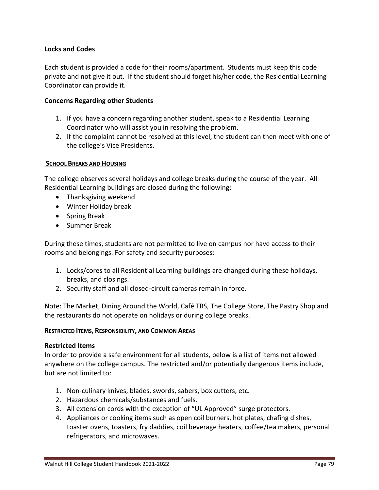#### **Locks and Codes**

Each student is provided a code for their rooms/apartment. Students must keep this code private and not give it out. If the student should forget his/her code, the Residential Learning Coordinator can provide it.

#### **Concerns Regarding other Students**

- 1. If you have a concern regarding another student, speak to a Residential Learning Coordinator who will assist you in resolving the problem.
- 2. If the complaint cannot be resolved at this level, the student can then meet with one of the college's Vice Presidents.

#### **SCHOOL BREAKS AND HOUSING**

The college observes several holidays and college breaks during the course of the year. All Residential Learning buildings are closed during the following:

- Thanksgiving weekend
- Winter Holiday break
- Spring Break
- Summer Break

During these times, students are not permitted to live on campus nor have access to their rooms and belongings. For safety and security purposes:

- 1. Locks/cores to all Residential Learning buildings are changed during these holidays, breaks, and closings.
- 2. Security staff and all closed-circuit cameras remain in force.

Note: The Market, Dining Around the World, Café TRS, The College Store, The Pastry Shop and the restaurants do not operate on holidays or during college breaks.

#### **RESTRICTED ITEMS, RESPONSIBILITY, AND COMMON AREAS**

#### **Restricted Items**

In order to provide a safe environment for all students, below is a list of items not allowed anywhere on the college campus. The restricted and/or potentially dangerous items include, but are not limited to:

- 1. Non-culinary knives, blades, swords, sabers, box cutters, etc.
- 2. Hazardous chemicals/substances and fuels.
- 3. All extension cords with the exception of "UL Approved" surge protectors.
- 4. Appliances or cooking items such as open coil burners, hot plates, chafing dishes, toaster ovens, toasters, fry daddies, coil beverage heaters, coffee/tea makers, personal refrigerators, and microwaves.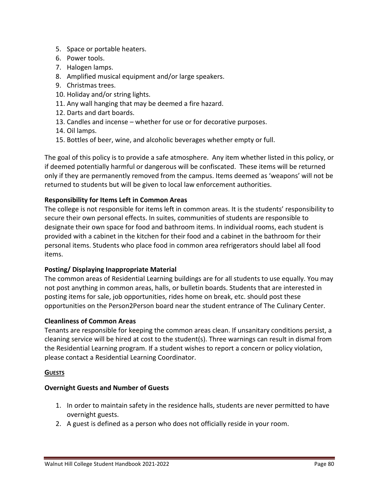- 5. Space or portable heaters.
- 6. Power tools.
- 7. Halogen lamps.
- 8. Amplified musical equipment and/or large speakers.
- 9. Christmas trees.
- 10. Holiday and/or string lights.
- 11. Any wall hanging that may be deemed a fire hazard.
- 12. Darts and dart boards.
- 13. Candles and incense whether for use or for decorative purposes.
- 14. Oil lamps.
- 15. Bottles of beer, wine, and alcoholic beverages whether empty or full.

The goal of this policy is to provide a safe atmosphere. Any item whether listed in this policy, or if deemed potentially harmful or dangerous will be confiscated. These items will be returned only if they are permanently removed from the campus. Items deemed as 'weapons' will not be returned to students but will be given to local law enforcement authorities.

## **Responsibility for Items Left in Common Areas**

The college is not responsible for items left in common areas. It is the students' responsibility to secure their own personal effects. In suites, communities of students are responsible to designate their own space for food and bathroom items. In individual rooms, each student is provided with a cabinet in the kitchen for their food and a cabinet in the bathroom for their personal items. Students who place food in common area refrigerators should label all food items.

## **Posting/ Displaying Inappropriate Material**

The common areas of Residential Learning buildings are for all students to use equally. You may not post anything in common areas, halls, or bulletin boards. Students that are interested in posting items for sale, job opportunities, rides home on break, etc. should post these opportunities on the Person2Person board near the student entrance of The Culinary Center.

## **Cleanliness of Common Areas**

Tenants are responsible for keeping the common areas clean. If unsanitary conditions persist, a cleaning service will be hired at cost to the student(s). Three warnings can result in dismal from the Residential Learning program. If a student wishes to report a concern or policy violation, please contact a Residential Learning Coordinator.

#### **GUESTS**

## **Overnight Guests and Number of Guests**

- 1. In order to maintain safety in the residence halls, students are never permitted to have overnight guests.
- 2. A guest is defined as a person who does not officially reside in your room.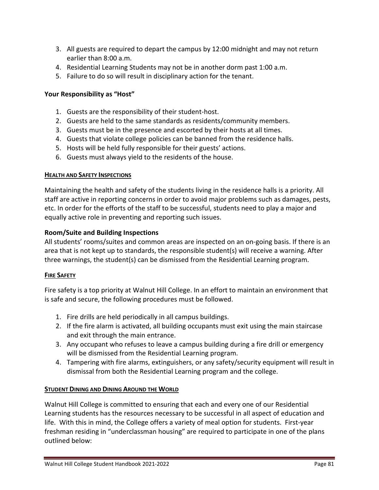- 3. All guests are required to depart the campus by 12:00 midnight and may not return earlier than 8:00 a.m.
- 4. Residential Learning Students may not be in another dorm past 1:00 a.m.
- 5. Failure to do so will result in disciplinary action for the tenant.

#### **Your Responsibility as "Host"**

- 1. Guests are the responsibility of their student-host.
- 2. Guests are held to the same standards as residents/community members.
- 3. Guests must be in the presence and escorted by their hosts at all times.
- 4. Guests that violate college policies can be banned from the residence halls.
- 5. Hosts will be held fully responsible for their guests' actions.
- 6. Guests must always yield to the residents of the house.

#### **HEALTH AND SAFETY INSPECTIONS**

Maintaining the health and safety of the students living in the residence halls is a priority. All staff are active in reporting concerns in order to avoid major problems such as damages, pests, etc. In order for the efforts of the staff to be successful, students need to play a major and equally active role in preventing and reporting such issues.

## **Room/Suite and Building Inspections**

All students' rooms/suites and common areas are inspected on an on-going basis. If there is an area that is not kept up to standards, the responsible student(s) will receive a warning. After three warnings, the student(s) can be dismissed from the Residential Learning program.

## **FIRE SAFETY**

Fire safety is a top priority at Walnut Hill College. In an effort to maintain an environment that is safe and secure, the following procedures must be followed.

- 1. Fire drills are held periodically in all campus buildings.
- 2. If the fire alarm is activated, all building occupants must exit using the main staircase and exit through the main entrance.
- 3. Any occupant who refuses to leave a campus building during a fire drill or emergency will be dismissed from the Residential Learning program.
- 4. Tampering with fire alarms, extinguishers, or any safety/security equipment will result in dismissal from both the Residential Learning program and the college.

## **STUDENT DINING AND DINING AROUND THE WORLD**

Walnut Hill College is committed to ensuring that each and every one of our Residential Learning students has the resources necessary to be successful in all aspect of education and life. With this in mind, the College offers a variety of meal option for students. First-year freshman residing in "underclassman housing" are required to participate in one of the plans outlined below: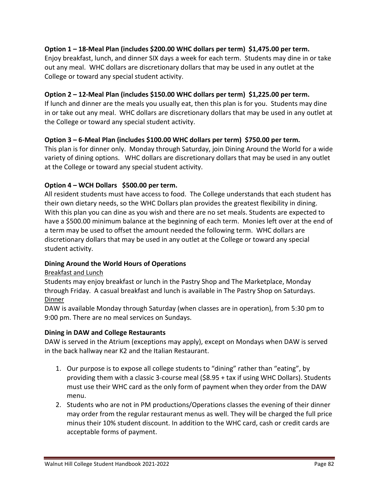## **Option 1 – 18-Meal Plan (includes \$200.00 WHC dollars per term) \$1,475.00 per term.**

Enjoy breakfast, lunch, and dinner SIX days a week for each term. Students may dine in or take out any meal. WHC dollars are discretionary dollars that may be used in any outlet at the College or toward any special student activity.

#### **Option 2 – 12-Meal Plan (includes \$150.00 WHC dollars per term) \$1,225.00 per term.**

If lunch and dinner are the meals you usually eat, then this plan is for you. Students may dine in or take out any meal. WHC dollars are discretionary dollars that may be used in any outlet at the College or toward any special student activity.

#### **Option 3 – 6-Meal Plan (includes \$100.00 WHC dollars per term) \$750.00 per term.**

This plan is for dinner only. Monday through Saturday, join Dining Around the World for a wide variety of dining options. WHC dollars are discretionary dollars that may be used in any outlet at the College or toward any special student activity.

## **Option 4 – WCH Dollars \$500.00 per term.**

All resident students must have access to food. The College understands that each student has their own dietary needs, so the WHC Dollars plan provides the greatest flexibility in dining. With this plan you can dine as you wish and there are no set meals. Students are expected to have a \$500.00 minimum balance at the beginning of each term. Monies left over at the end of a term may be used to offset the amount needed the following term. WHC dollars are discretionary dollars that may be used in any outlet at the College or toward any special student activity.

## **Dining Around the World Hours of Operations**

Breakfast and Lunch

Students may enjoy breakfast or lunch in the Pastry Shop and The Marketplace, Monday through Friday. A casual breakfast and lunch is available in The Pastry Shop on Saturdays. Dinner

DAW is available Monday through Saturday (when classes are in operation), from 5:30 pm to 9:00 pm. There are no meal services on Sundays.

#### **Dining in DAW and College Restaurants**

DAW is served in the Atrium (exceptions may apply), except on Mondays when DAW is served in the back hallway near K2 and the Italian Restaurant.

- 1. Our purpose is to expose all college students to "dining" rather than "eating", by providing them with a classic 3-course meal (\$8.95 + tax if using WHC Dollars). Students must use their WHC card as the only form of payment when they order from the DAW menu.
- 2. Students who are not in PM productions/Operations classes the evening of their dinner may order from the regular restaurant menus as well. They will be charged the full price minus their 10% student discount. In addition to the WHC card, cash or credit cards are acceptable forms of payment.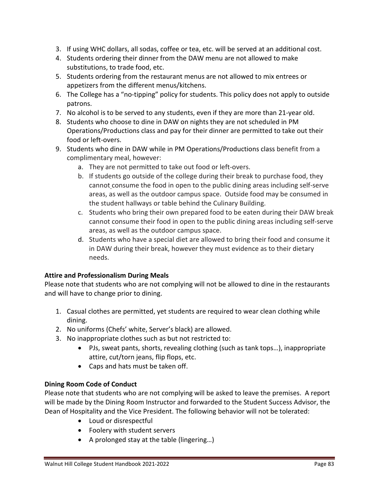- 3. If using WHC dollars, all sodas, coffee or tea, etc. will be served at an additional cost.
- 4. Students ordering their dinner from the DAW menu are not allowed to make substitutions, to trade food, etc.
- 5. Students ordering from the restaurant menus are not allowed to mix entrees or appetizers from the different menus/kitchens.
- 6. The College has a "no-tipping" policy for students. This policy does not apply to outside patrons.
- 7. No alcohol is to be served to any students, even if they are more than 21-year old.
- 8. Students who choose to dine in DAW on nights they are not scheduled in PM Operations/Productions class and pay for their dinner are permitted to take out their food or left-overs.
- 9. Students who dine in DAW while in PM Operations/Productions class benefit from a complimentary meal, however:
	- a. They are not permitted to take out food or left-overs.
	- b. If students go outside of the college during their break to purchase food, they cannot consume the food in open to the public dining areas including self-serve areas, as well as the outdoor campus space. Outside food may be consumed in the student hallways or table behind the Culinary Building.
	- c. Students who bring their own prepared food to be eaten during their DAW break cannot consume their food in open to the public dining areas including self-serve areas, as well as the outdoor campus space.
	- d. Students who have a special diet are allowed to bring their food and consume it in DAW during their break, however they must evidence as to their dietary needs.

## **Attire and Professionalism During Meals**

Please note that students who are not complying will not be allowed to dine in the restaurants and will have to change prior to dining.

- 1. Casual clothes are permitted, yet students are required to wear clean clothing while dining.
- 2. No uniforms (Chefs' white, Server's black) are allowed.
- 3. No inappropriate clothes such as but not restricted to:
	- PJs, sweat pants, shorts, revealing clothing (such as tank tops…), inappropriate attire, cut/torn jeans, flip flops, etc.
	- Caps and hats must be taken off.

## **Dining Room Code of Conduct**

Please note that students who are not complying will be asked to leave the premises. A report will be made by the Dining Room Instructor and forwarded to the Student Success Advisor, the Dean of Hospitality and the Vice President. The following behavior will not be tolerated:

- Loud or disrespectful
- Foolery with student servers
- A prolonged stay at the table (lingering…)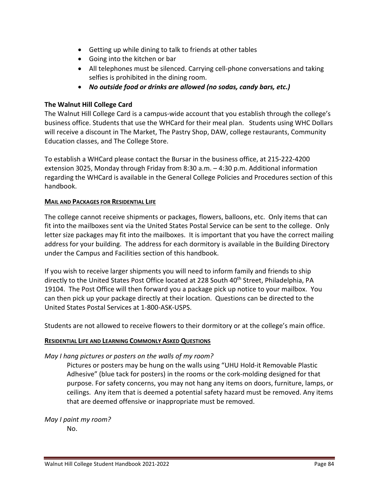- Getting up while dining to talk to friends at other tables
- Going into the kitchen or bar
- All telephones must be silenced. Carrying cell-phone conversations and taking selfies is prohibited in the dining room.
- *No outside food or drinks are allowed (no sodas, candy bars, etc.)*

## **The Walnut Hill College Card**

The Walnut Hill College Card is a campus-wide account that you establish through the college's business office. Students that use the WHCard for their meal plan. Students using WHC Dollars will receive a discount in The Market, The Pastry Shop, DAW, college restaurants, Community Education classes, and The College Store.

To establish a WHCard please contact the Bursar in the business office, at 215-222-4200 extension 3025, Monday through Friday from 8:30 a.m. – 4:30 p.m. Additional information regarding the WHCard is available in the General College Policies and Procedures section of this handbook.

## **MAIL AND PACKAGES FOR RESIDENTIAL LIFE**

The college cannot receive shipments or packages, flowers, balloons, etc. Only items that can fit into the mailboxes sent via the United States Postal Service can be sent to the college. Only letter size packages may fit into the mailboxes. It is important that you have the correct mailing address for your building. The address for each dormitory is available in the Building Directory under the Campus and Facilities section of this handbook.

If you wish to receive larger shipments you will need to inform family and friends to ship directly to the United States Post Office located at 228 South 40<sup>th</sup> Street, Philadelphia, PA 19104. The Post Office will then forward you a package pick up notice to your mailbox. You can then pick up your package directly at their location. Questions can be directed to the United States Postal Services at 1-800-ASK-USPS.

Students are not allowed to receive flowers to their dormitory or at the college's main office.

## **RESIDENTIAL LIFE AND LEARNING COMMONLY ASKED QUESTIONS**

## *May I hang pictures or posters on the walls of my room?*

Pictures or posters may be hung on the walls using "UHU Hold-it Removable Plastic Adhesive" (blue tack for posters) in the rooms or the cork-molding designed for that purpose. For safety concerns, you may not hang any items on doors, furniture, lamps, or ceilings. Any item that is deemed a potential safety hazard must be removed. Any items that are deemed offensive or inappropriate must be removed.

*May I paint my room?*

No.